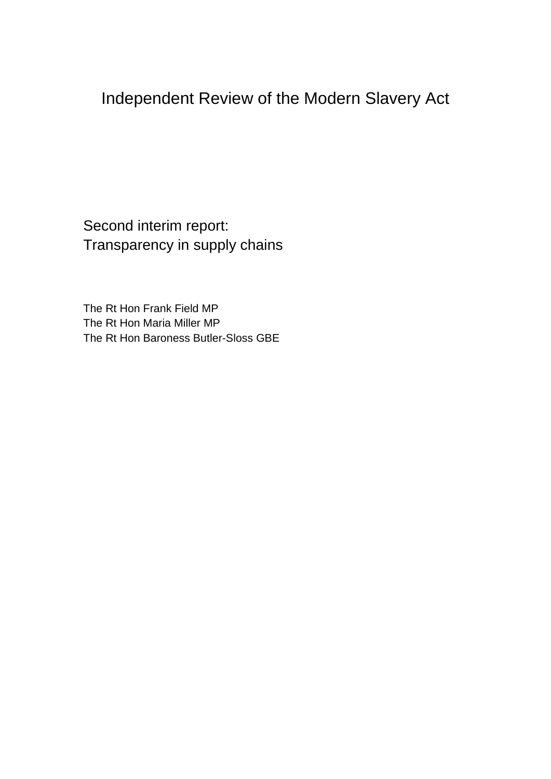Independent Review of the Modern Slavery Act

Second interim report: Transparency in supply chains

The Rt Hon Frank Field MP The Rt Hon Maria Miller MP The Rt Hon Baroness Butler-Sloss GBE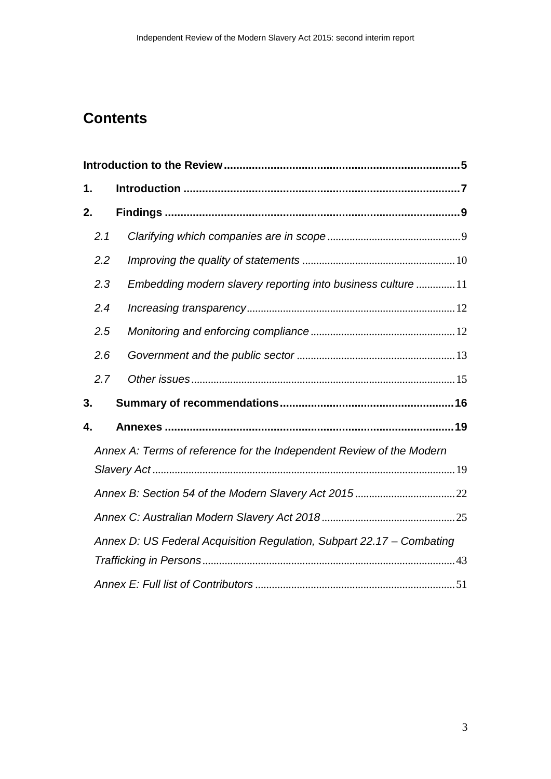# **Contents**

| 1. |                                                                       |                                                             |  |
|----|-----------------------------------------------------------------------|-------------------------------------------------------------|--|
| 2. |                                                                       |                                                             |  |
|    | 2.1                                                                   |                                                             |  |
|    | 2.2                                                                   |                                                             |  |
|    | 2.3                                                                   | Embedding modern slavery reporting into business culture 11 |  |
|    | 2.4                                                                   |                                                             |  |
|    | 2.5                                                                   |                                                             |  |
|    | 2.6                                                                   |                                                             |  |
|    | 2.7                                                                   |                                                             |  |
| 3. |                                                                       |                                                             |  |
| 4. |                                                                       |                                                             |  |
|    | Annex A: Terms of reference for the Independent Review of the Modern  |                                                             |  |
|    |                                                                       |                                                             |  |
|    |                                                                       |                                                             |  |
|    |                                                                       |                                                             |  |
|    | Annex D: US Federal Acquisition Regulation, Subpart 22.17 - Combating |                                                             |  |
|    |                                                                       |                                                             |  |
|    |                                                                       |                                                             |  |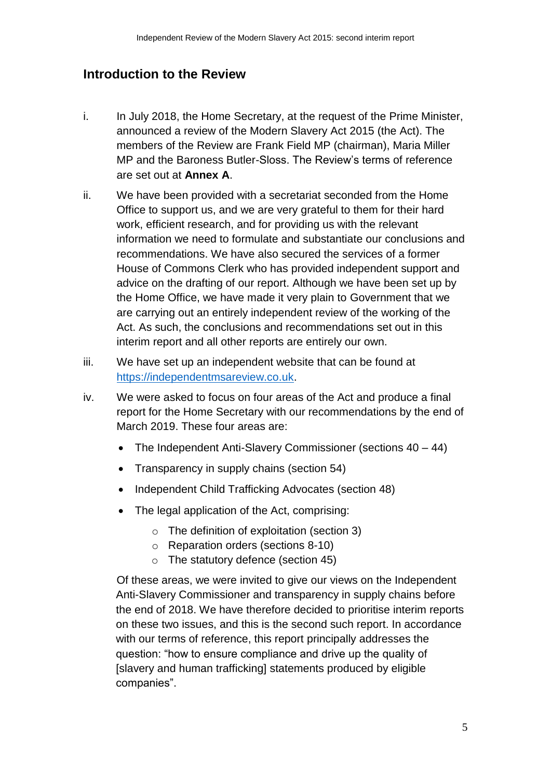# <span id="page-4-0"></span>**Introduction to the Review**

- i. In July 2018, the Home Secretary, at the request of the Prime Minister, announced a review of the Modern Slavery Act 2015 (the Act). The members of the Review are Frank Field MP (chairman), Maria Miller MP and the Baroness Butler-Sloss. The Review's terms of reference are set out at **Annex A**.
- ii. We have been provided with a secretariat seconded from the Home Office to support us, and we are very grateful to them for their hard work, efficient research, and for providing us with the relevant information we need to formulate and substantiate our conclusions and recommendations. We have also secured the services of a former House of Commons Clerk who has provided independent support and advice on the drafting of our report. Although we have been set up by the Home Office, we have made it very plain to Government that we are carrying out an entirely independent review of the working of the Act. As such, the conclusions and recommendations set out in this interim report and all other reports are entirely our own.
- iii. We have set up an independent website that can be found at [https://independentmsareview.co.uk.](https://independentmsareview.co.uk/)
- iv. We were asked to focus on four areas of the Act and produce a final report for the Home Secretary with our recommendations by the end of March 2019. These four areas are:
	- The Independent Anti-Slavery Commissioner (sections 40 44)
	- Transparency in supply chains (section 54)
	- Independent Child Trafficking Advocates (section 48)
	- The legal application of the Act, comprising:
		- o The definition of exploitation (section 3)
		- o Reparation orders (sections 8-10)
		- o The statutory defence (section 45)

Of these areas, we were invited to give our views on the Independent Anti-Slavery Commissioner and transparency in supply chains before the end of 2018. We have therefore decided to prioritise interim reports on these two issues, and this is the second such report. In accordance with our terms of reference, this report principally addresses the question: "how to ensure compliance and drive up the quality of [slavery and human trafficking] statements produced by eligible companies".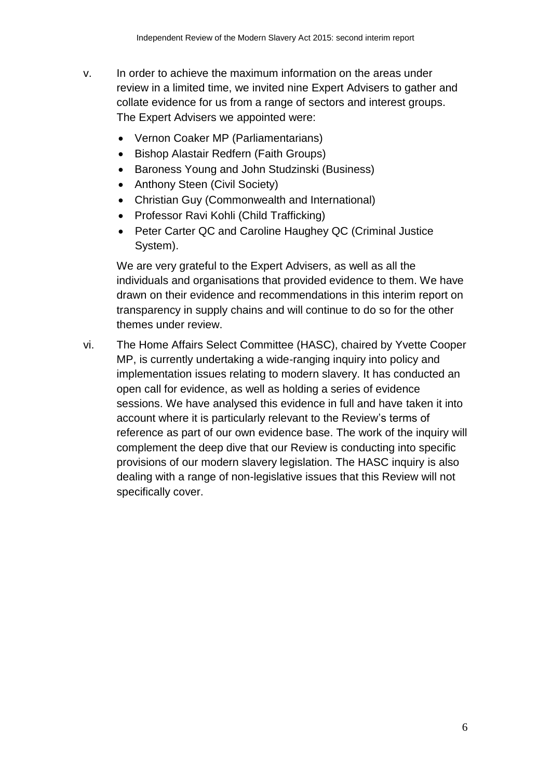- v. In order to achieve the maximum information on the areas under review in a limited time, we invited nine Expert Advisers to gather and collate evidence for us from a range of sectors and interest groups. The Expert Advisers we appointed were:
	- Vernon Coaker MP (Parliamentarians)
	- Bishop Alastair Redfern (Faith Groups)
	- Baroness Young and John Studzinski (Business)
	- Anthony Steen (Civil Society)
	- Christian Guy (Commonwealth and International)
	- Professor Ravi Kohli (Child Trafficking)
	- Peter Carter QC and Caroline Haughey QC (Criminal Justice System).

We are very grateful to the Expert Advisers, as well as all the individuals and organisations that provided evidence to them. We have drawn on their evidence and recommendations in this interim report on transparency in supply chains and will continue to do so for the other themes under review.

vi. The Home Affairs Select Committee (HASC), chaired by Yvette Cooper MP, is currently undertaking a wide-ranging inquiry into policy and implementation issues relating to modern slavery. It has conducted an open call for evidence, as well as holding a series of evidence sessions. We have analysed this evidence in full and have taken it into account where it is particularly relevant to the Review's terms of reference as part of our own evidence base. The work of the inquiry will complement the deep dive that our Review is conducting into specific provisions of our modern slavery legislation. The HASC inquiry is also dealing with a range of non-legislative issues that this Review will not specifically cover.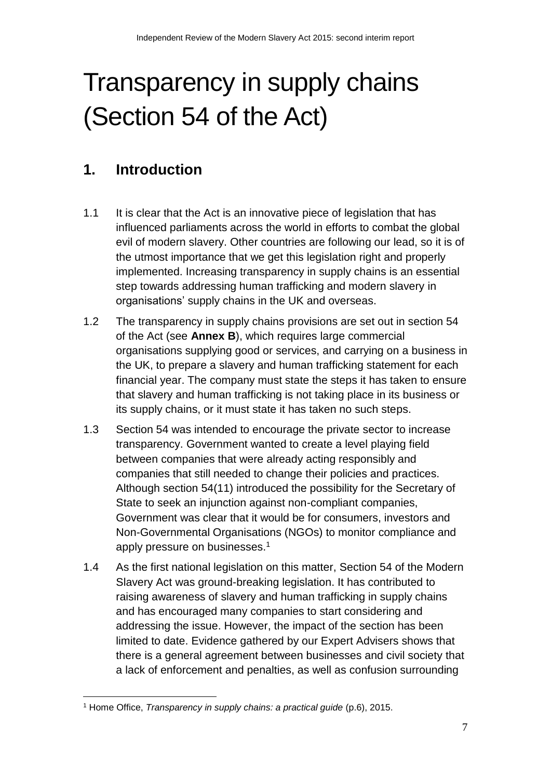# Transparency in supply chains (Section 54 of the Act)

# <span id="page-6-0"></span>**1. Introduction**

- 1.1 It is clear that the Act is an innovative piece of legislation that has influenced parliaments across the world in efforts to combat the global evil of modern slavery. Other countries are following our lead, so it is of the utmost importance that we get this legislation right and properly implemented. Increasing transparency in supply chains is an essential step towards addressing human trafficking and modern slavery in organisations' supply chains in the UK and overseas.
- 1.2 The transparency in supply chains provisions are set out in section 54 of the Act (see **Annex B**), which requires large commercial organisations supplying good or services, and carrying on a business in the UK, to prepare a slavery and human trafficking statement for each financial year. The company must state the steps it has taken to ensure that slavery and human trafficking is not taking place in its business or its supply chains, or it must state it has taken no such steps.
- 1.3 Section 54 was intended to encourage the private sector to increase transparency. Government wanted to create a level playing field between companies that were already acting responsibly and companies that still needed to change their policies and practices. Although section 54(11) introduced the possibility for the Secretary of State to seek an injunction against non-compliant companies, Government was clear that it would be for consumers, investors and Non-Governmental Organisations (NGOs) to monitor compliance and apply pressure on businesses.<sup>1</sup>
- 1.4 As the first national legislation on this matter, Section 54 of the Modern Slavery Act was ground-breaking legislation. It has contributed to raising awareness of slavery and human trafficking in supply chains and has encouraged many companies to start considering and addressing the issue. However, the impact of the section has been limited to date. Evidence gathered by our Expert Advisers shows that there is a general agreement between businesses and civil society that a lack of enforcement and penalties, as well as confusion surrounding

<sup>1</sup> <sup>1</sup> Home Office, *Transparency in supply chains: a practical guide* (p.6), 2015.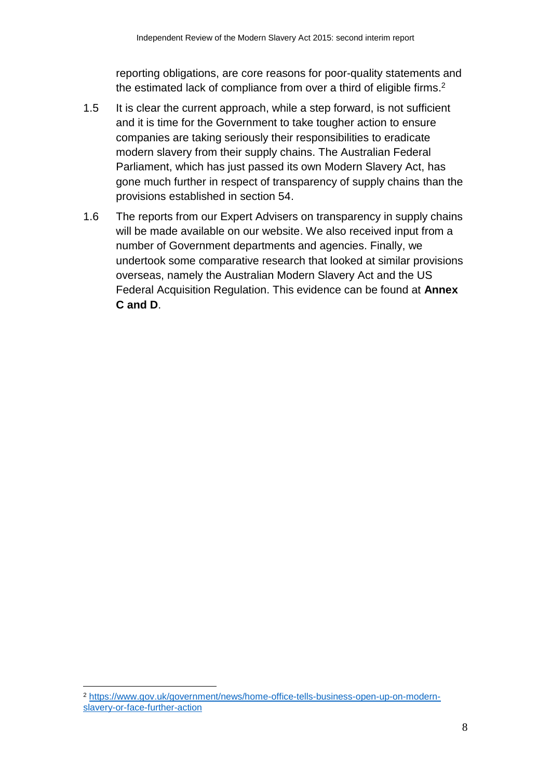reporting obligations, are core reasons for poor-quality statements and the estimated lack of compliance from over a third of eligible firms.<sup>2</sup>

- 1.5 It is clear the current approach, while a step forward, is not sufficient and it is time for the Government to take tougher action to ensure companies are taking seriously their responsibilities to eradicate modern slavery from their supply chains. The Australian Federal Parliament, which has just passed its own Modern Slavery Act, has gone much further in respect of transparency of supply chains than the provisions established in section 54.
- 1.6 The reports from our Expert Advisers on transparency in supply chains will be made available on our website. We also received input from a number of Government departments and agencies. Finally, we undertook some comparative research that looked at similar provisions overseas, namely the Australian Modern Slavery Act and the US Federal Acquisition Regulation. This evidence can be found at **Annex C and D**.

<u>.</u>

<sup>2</sup> [https://www.gov.uk/government/news/home-office-tells-business-open-up-on-modern](https://www.gov.uk/government/news/home-office-tells-business-open-up-on-modern-slavery-or-face-further-action)[slavery-or-face-further-action](https://www.gov.uk/government/news/home-office-tells-business-open-up-on-modern-slavery-or-face-further-action)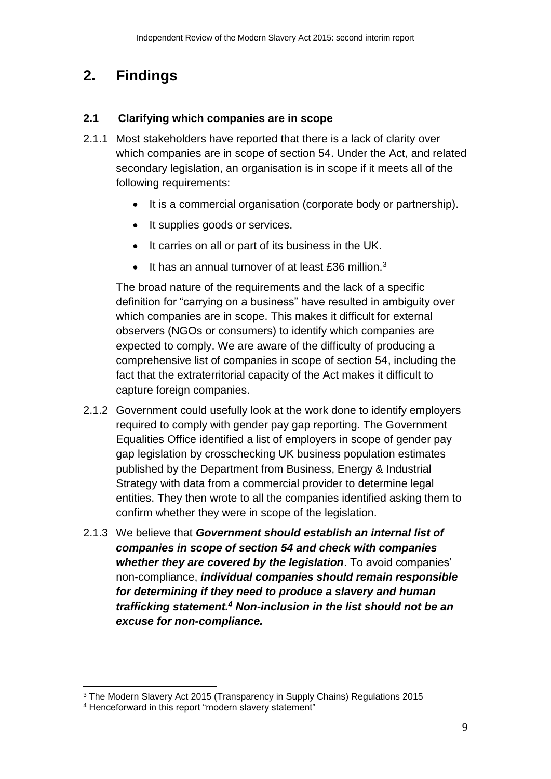# <span id="page-8-0"></span>**2. Findings**

#### <span id="page-8-1"></span>**2.1 Clarifying which companies are in scope**

- 2.1.1 Most stakeholders have reported that there is a lack of clarity over which companies are in scope of section 54. Under the Act, and related secondary legislation, an organisation is in scope if it meets all of the following requirements:
	- It is a commercial organisation (corporate body or partnership).
	- It supplies goods or services.
	- It carries on all or part of its business in the UK.
	- $\bullet$  It has an annual turnover of at least £36 million.<sup>3</sup>

The broad nature of the requirements and the lack of a specific definition for "carrying on a business" have resulted in ambiguity over which companies are in scope. This makes it difficult for external observers (NGOs or consumers) to identify which companies are expected to comply. We are aware of the difficulty of producing a comprehensive list of companies in scope of section 54, including the fact that the extraterritorial capacity of the Act makes it difficult to capture foreign companies.

- 2.1.2 Government could usefully look at the work done to identify employers required to comply with gender pay gap reporting. The Government Equalities Office identified a list of employers in scope of gender pay gap legislation by crosschecking UK business population estimates published by the Department from Business, Energy & Industrial Strategy with data from a commercial provider to determine legal entities. They then wrote to all the companies identified asking them to confirm whether they were in scope of the legislation.
- 2.1.3 We believe that *Government should establish an internal list of companies in scope of section 54 and check with companies whether they are covered by the legislation*. To avoid companies' non-compliance, *individual companies should remain responsible for determining if they need to produce a slavery and human trafficking statement. <sup>4</sup> Non-inclusion in the list should not be an excuse for non-compliance.*

<sup>&</sup>lt;u>.</u> <sup>3</sup> The Modern Slavery Act 2015 (Transparency in Supply Chains) Regulations 2015

<sup>4</sup> Henceforward in this report "modern slavery statement"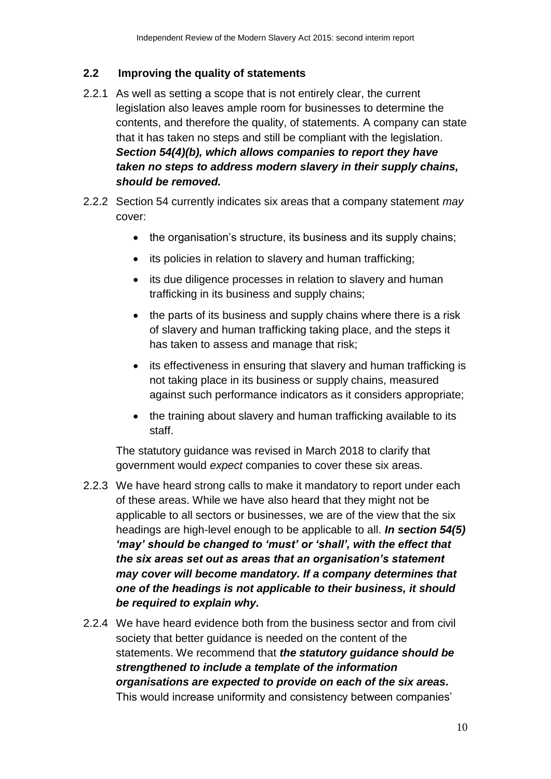# <span id="page-9-0"></span>**2.2 Improving the quality of statements**

- 2.2.1 As well as setting a scope that is not entirely clear, the current legislation also leaves ample room for businesses to determine the contents, and therefore the quality, of statements. A company can state that it has taken no steps and still be compliant with the legislation. *Section 54(4)(b), which allows companies to report they have taken no steps to address modern slavery in their supply chains, should be removed.*
- 2.2.2 Section 54 currently indicates six areas that a company statement *may* cover:
	- the organisation's structure, its business and its supply chains;
	- its policies in relation to slavery and human trafficking;
	- its due diligence processes in relation to slavery and human trafficking in its business and supply chains;
	- the parts of its business and supply chains where there is a risk of slavery and human trafficking taking place, and the steps it has taken to assess and manage that risk;
	- its effectiveness in ensuring that slavery and human trafficking is not taking place in its business or supply chains, measured against such performance indicators as it considers appropriate;
	- the training about slavery and human trafficking available to its staff.

The statutory guidance was revised in March 2018 to clarify that government would *expect* companies to cover these six areas.

- 2.2.3 We have heard strong calls to make it mandatory to report under each of these areas. While we have also heard that they might not be applicable to all sectors or businesses, we are of the view that the six headings are high-level enough to be applicable to all. *In section 54(5) 'may' should be changed to 'must' or 'shall', with the effect that the six areas set out as areas that an organisation's statement may cover will become mandatory. If a company determines that one of the headings is not applicable to their business, it should be required to explain why.*
- 2.2.4 We have heard evidence both from the business sector and from civil society that better guidance is needed on the content of the statements. We recommend that *the statutory guidance should be strengthened to include a template of the information organisations are expected to provide on each of the six areas.*  This would increase uniformity and consistency between companies'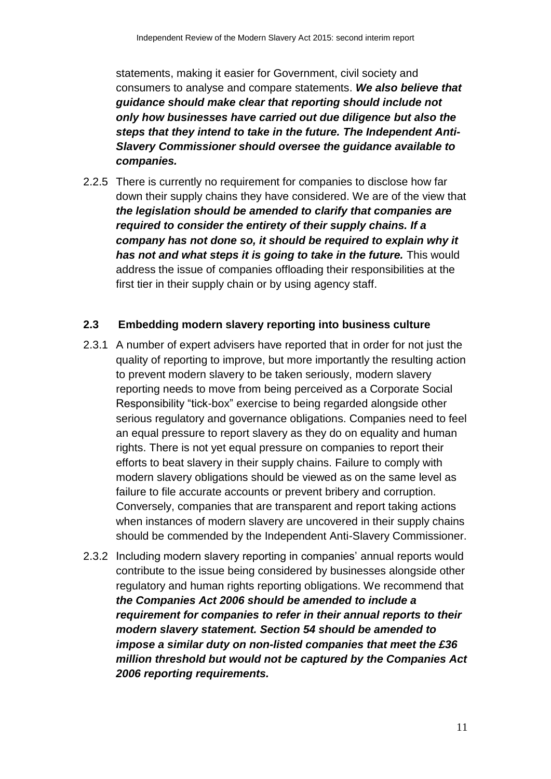statements, making it easier for Government, civil society and consumers to analyse and compare statements. *We also believe that guidance should make clear that reporting should include not only how businesses have carried out due diligence but also the steps that they intend to take in the future. The Independent Anti-Slavery Commissioner should oversee the guidance available to companies.*

2.2.5 There is currently no requirement for companies to disclose how far down their supply chains they have considered. We are of the view that *the legislation should be amended to clarify that companies are required to consider the entirety of their supply chains. If a company has not done so, it should be required to explain why it has not and what steps it is going to take in the future.* This would address the issue of companies offloading their responsibilities at the first tier in their supply chain or by using agency staff.

#### <span id="page-10-0"></span>**2.3 Embedding modern slavery reporting into business culture**

- 2.3.1 A number of expert advisers have reported that in order for not just the quality of reporting to improve, but more importantly the resulting action to prevent modern slavery to be taken seriously, modern slavery reporting needs to move from being perceived as a Corporate Social Responsibility "tick-box" exercise to being regarded alongside other serious regulatory and governance obligations. Companies need to feel an equal pressure to report slavery as they do on equality and human rights. There is not yet equal pressure on companies to report their efforts to beat slavery in their supply chains. Failure to comply with modern slavery obligations should be viewed as on the same level as failure to file accurate accounts or prevent bribery and corruption. Conversely, companies that are transparent and report taking actions when instances of modern slavery are uncovered in their supply chains should be commended by the Independent Anti-Slavery Commissioner.
- 2.3.2 Including modern slavery reporting in companies' annual reports would contribute to the issue being considered by businesses alongside other regulatory and human rights reporting obligations. We recommend that *the Companies Act 2006 should be amended to include a requirement for companies to refer in their annual reports to their modern slavery statement. Section 54 should be amended to impose a similar duty on non-listed companies that meet the £36 million threshold but would not be captured by the Companies Act 2006 reporting requirements.*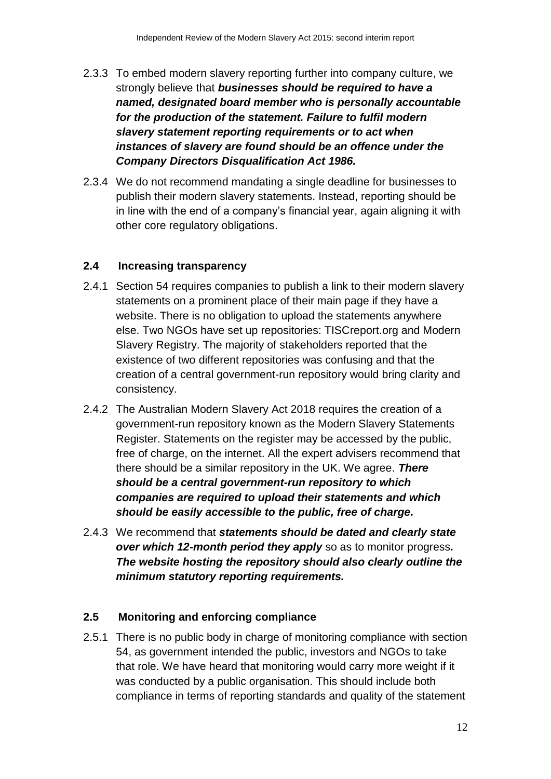- 2.3.3 To embed modern slavery reporting further into company culture, we strongly believe that *businesses should be required to have a named, designated board member who is personally accountable for the production of the statement. Failure to fulfil modern slavery statement reporting requirements or to act when instances of slavery are found should be an offence under the Company Directors Disqualification Act 1986.*
- 2.3.4 We do not recommend mandating a single deadline for businesses to publish their modern slavery statements. Instead, reporting should be in line with the end of a company's financial year, again aligning it with other core regulatory obligations.

#### <span id="page-11-0"></span>**2.4 Increasing transparency**

- 2.4.1 Section 54 requires companies to publish a link to their modern slavery statements on a prominent place of their main page if they have a website. There is no obligation to upload the statements anywhere else. Two NGOs have set up repositories: TISCreport.org and Modern Slavery Registry. The majority of stakeholders reported that the existence of two different repositories was confusing and that the creation of a central government-run repository would bring clarity and consistency.
- 2.4.2 The Australian Modern Slavery Act 2018 requires the creation of a government-run repository known as the Modern Slavery Statements Register. Statements on the register may be accessed by the public, free of charge, on the internet. All the expert advisers recommend that there should be a similar repository in the UK. We agree. *There should be a central government-run repository to which companies are required to upload their statements and which should be easily accessible to the public, free of charge.*
- 2.4.3 We recommend that *statements should be dated and clearly state over which 12-month period they apply* so as to monitor progress*. The website hosting the repository should also clearly outline the minimum statutory reporting requirements.*

#### <span id="page-11-1"></span>**2.5 Monitoring and enforcing compliance**

2.5.1 There is no public body in charge of monitoring compliance with section 54, as government intended the public, investors and NGOs to take that role. We have heard that monitoring would carry more weight if it was conducted by a public organisation. This should include both compliance in terms of reporting standards and quality of the statement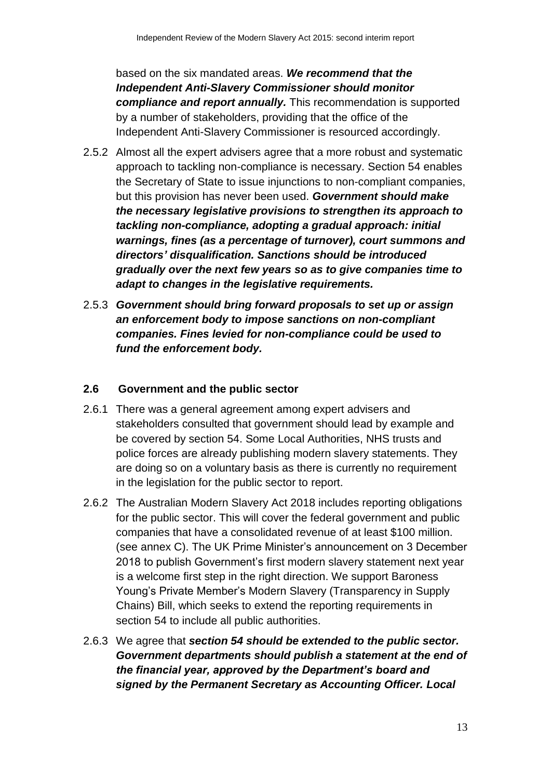based on the six mandated areas. *We recommend that the Independent Anti-Slavery Commissioner should monitor compliance and report annually.* This recommendation is supported by a number of stakeholders, providing that the office of the Independent Anti-Slavery Commissioner is resourced accordingly.

- 2.5.2 Almost all the expert advisers agree that a more robust and systematic approach to tackling non-compliance is necessary. Section 54 enables the Secretary of State to issue injunctions to non-compliant companies, but this provision has never been used. *Government should make the necessary legislative provisions to strengthen its approach to tackling non-compliance, adopting a gradual approach: initial warnings, fines (as a percentage of turnover), court summons and directors' disqualification. Sanctions should be introduced gradually over the next few years so as to give companies time to adapt to changes in the legislative requirements.*
- 2.5.3 *Government should bring forward proposals to set up or assign an enforcement body to impose sanctions on non-compliant companies. Fines levied for non-compliance could be used to fund the enforcement body.*

## <span id="page-12-0"></span>**2.6 Government and the public sector**

- 2.6.1 There was a general agreement among expert advisers and stakeholders consulted that government should lead by example and be covered by section 54. Some Local Authorities, NHS trusts and police forces are already publishing modern slavery statements. They are doing so on a voluntary basis as there is currently no requirement in the legislation for the public sector to report.
- 2.6.2 The Australian Modern Slavery Act 2018 includes reporting obligations for the public sector. This will cover the federal government and public companies that have a consolidated revenue of at least \$100 million. (see annex C). The UK Prime Minister's announcement on 3 December 2018 to publish Government's first modern slavery statement next year is a welcome first step in the right direction. We support Baroness Young's Private Member's Modern Slavery (Transparency in Supply Chains) Bill, which seeks to extend the reporting requirements in section 54 to include all public authorities.
- 2.6.3 We agree that *section 54 should be extended to the public sector. Government departments should publish a statement at the end of the financial year, approved by the Department's board and signed by the Permanent Secretary as Accounting Officer. Local*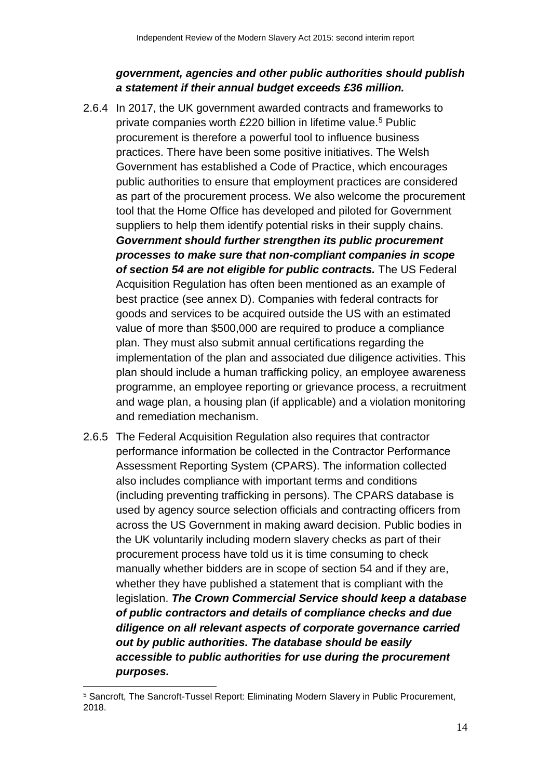## *government, agencies and other public authorities should publish a statement if their annual budget exceeds £36 million.*

- 2.6.4 In 2017, the UK government awarded contracts and frameworks to private companies worth £220 billion in lifetime value.<sup>5</sup> Public procurement is therefore a powerful tool to influence business practices. There have been some positive initiatives. The Welsh Government has established a Code of Practice, which encourages public authorities to ensure that employment practices are considered as part of the procurement process. We also welcome the procurement tool that the Home Office has developed and piloted for Government suppliers to help them identify potential risks in their supply chains. *Government should further strengthen its public procurement processes to make sure that non-compliant companies in scope of section 54 are not eligible for public contracts.* The US Federal Acquisition Regulation has often been mentioned as an example of best practice (see annex D). Companies with federal contracts for goods and services to be acquired outside the US with an estimated value of more than \$500,000 are required to produce a compliance plan. They must also submit annual certifications regarding the implementation of the plan and associated due diligence activities. This plan should include a human trafficking policy, an employee awareness programme, an employee reporting or grievance process, a recruitment and wage plan, a housing plan (if applicable) and a violation monitoring and remediation mechanism.
- 2.6.5 The Federal Acquisition Regulation also requires that contractor performance information be collected in the Contractor Performance Assessment Reporting System (CPARS). The information collected also includes compliance with important terms and conditions (including preventing trafficking in persons). The CPARS database is used by agency source selection officials and contracting officers from across the US Government in making award decision. Public bodies in the UK voluntarily including modern slavery checks as part of their procurement process have told us it is time consuming to check manually whether bidders are in scope of section 54 and if they are, whether they have published a statement that is compliant with the legislation. *The Crown Commercial Service should keep a database of public contractors and details of compliance checks and due diligence on all relevant aspects of corporate governance carried out by public authorities. The database should be easily accessible to public authorities for use during the procurement purposes.*

<sup>&</sup>lt;u>.</u> <sup>5</sup> Sancroft, The Sancroft-Tussel Report: Eliminating Modern Slavery in Public Procurement, 2018.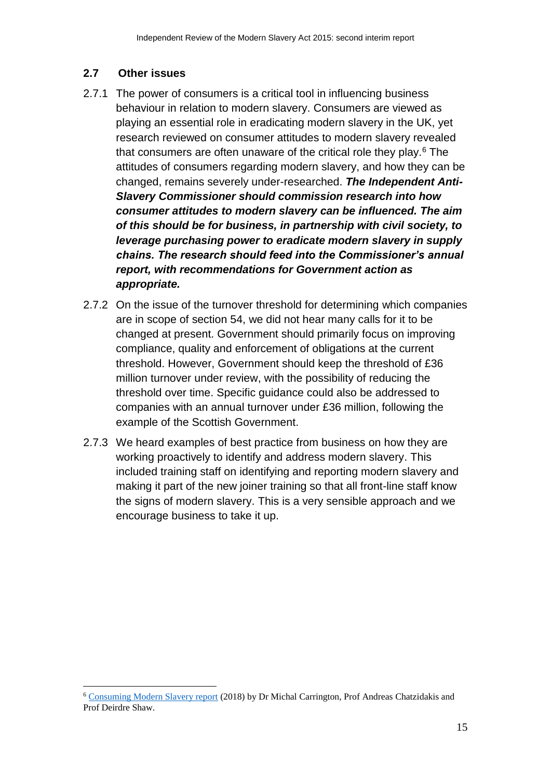# <span id="page-14-0"></span>**2.7 Other issues**

<u>.</u>

- 2.7.1 The power of consumers is a critical tool in influencing business behaviour in relation to modern slavery. Consumers are viewed as playing an essential role in eradicating modern slavery in the UK, yet research reviewed on consumer attitudes to modern slavery revealed that consumers are often unaware of the critical role they play. $6$  The attitudes of consumers regarding modern slavery, and how they can be changed, remains severely under-researched. *The Independent Anti-Slavery Commissioner should commission research into how consumer attitudes to modern slavery can be influenced. The aim of this should be for business, in partnership with civil society, to leverage purchasing power to eradicate modern slavery in supply chains. The research should feed into the Commissioner's annual report, with recommendations for Government action as appropriate.*
- 2.7.2 On the issue of the turnover threshold for determining which companies are in scope of section 54, we did not hear many calls for it to be changed at present. Government should primarily focus on improving compliance, quality and enforcement of obligations at the current threshold. However, Government should keep the threshold of £36 million turnover under review, with the possibility of reducing the threshold over time. Specific guidance could also be addressed to companies with an annual turnover under £36 million, following the example of the Scottish Government.
- 2.7.3 We heard examples of best practice from business on how they are working proactively to identify and address modern slavery. This included training staff on identifying and reporting modern slavery and making it part of the new joiner training so that all front-line staff know the signs of modern slavery. This is a very sensible approach and we encourage business to take it up.

<sup>6</sup> [Consuming Modern Slavery report](https://docs.wixstatic.com/ugd/db532a_4cb0e139c83a442cbd1a1a91e168a250.pdf) (2018) by Dr Michal Carrington, Prof Andreas Chatzidakis and Prof Deirdre Shaw.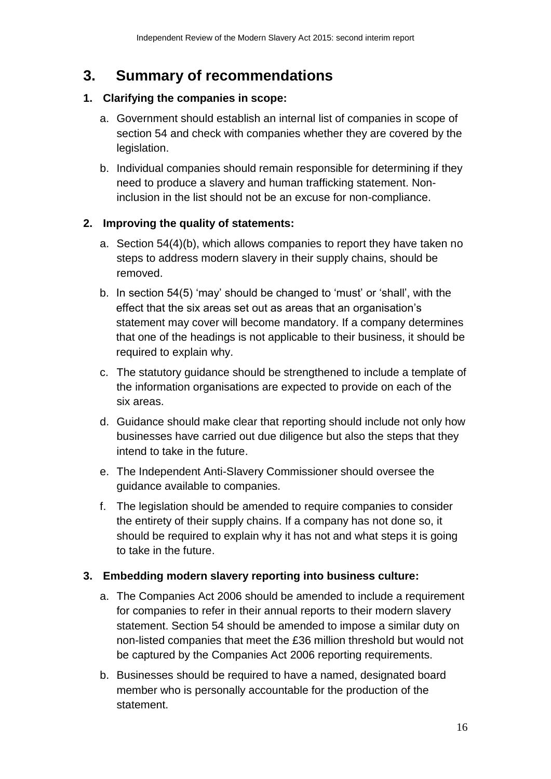# <span id="page-15-0"></span>**3. Summary of recommendations**

#### **1. Clarifying the companies in scope:**

- a. Government should establish an internal list of companies in scope of section 54 and check with companies whether they are covered by the legislation.
- b. Individual companies should remain responsible for determining if they need to produce a slavery and human trafficking statement. Noninclusion in the list should not be an excuse for non-compliance.

# **2. Improving the quality of statements:**

- a. Section 54(4)(b), which allows companies to report they have taken no steps to address modern slavery in their supply chains, should be removed.
- b. In section 54(5) 'may' should be changed to 'must' or 'shall', with the effect that the six areas set out as areas that an organisation's statement may cover will become mandatory. If a company determines that one of the headings is not applicable to their business, it should be required to explain why.
- c. The statutory guidance should be strengthened to include a template of the information organisations are expected to provide on each of the six areas.
- d. Guidance should make clear that reporting should include not only how businesses have carried out due diligence but also the steps that they intend to take in the future.
- e. The Independent Anti-Slavery Commissioner should oversee the guidance available to companies.
- f. The legislation should be amended to require companies to consider the entirety of their supply chains. If a company has not done so, it should be required to explain why it has not and what steps it is going to take in the future.

# **3. Embedding modern slavery reporting into business culture:**

- a. The Companies Act 2006 should be amended to include a requirement for companies to refer in their annual reports to their modern slavery statement. Section 54 should be amended to impose a similar duty on non-listed companies that meet the £36 million threshold but would not be captured by the Companies Act 2006 reporting requirements.
- b. Businesses should be required to have a named, designated board member who is personally accountable for the production of the statement.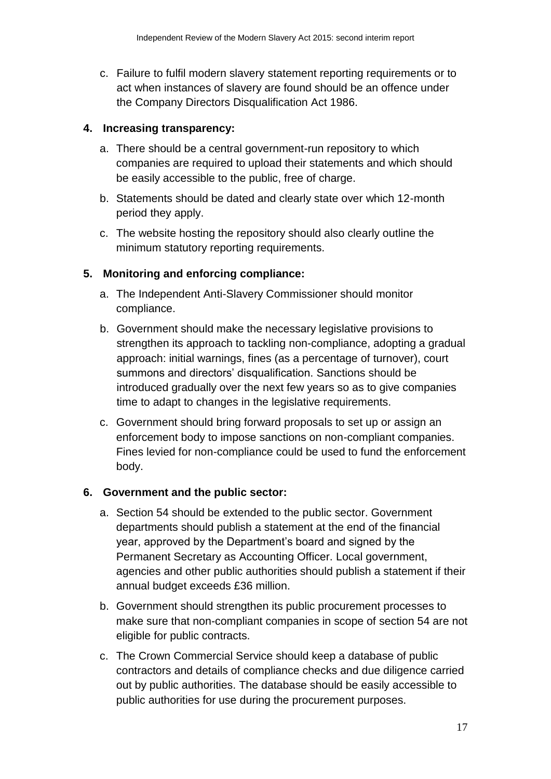c. Failure to fulfil modern slavery statement reporting requirements or to act when instances of slavery are found should be an offence under the Company Directors Disqualification Act 1986.

#### **4. Increasing transparency:**

- a. There should be a central government-run repository to which companies are required to upload their statements and which should be easily accessible to the public, free of charge.
- b. Statements should be dated and clearly state over which 12-month period they apply.
- c. The website hosting the repository should also clearly outline the minimum statutory reporting requirements.

#### **5. Monitoring and enforcing compliance:**

- a. The Independent Anti-Slavery Commissioner should monitor compliance.
- b. Government should make the necessary legislative provisions to strengthen its approach to tackling non-compliance, adopting a gradual approach: initial warnings, fines (as a percentage of turnover), court summons and directors' disqualification. Sanctions should be introduced gradually over the next few years so as to give companies time to adapt to changes in the legislative requirements.
- c. Government should bring forward proposals to set up or assign an enforcement body to impose sanctions on non-compliant companies. Fines levied for non-compliance could be used to fund the enforcement body.

#### **6. Government and the public sector:**

- a. Section 54 should be extended to the public sector. Government departments should publish a statement at the end of the financial year, approved by the Department's board and signed by the Permanent Secretary as Accounting Officer. Local government, agencies and other public authorities should publish a statement if their annual budget exceeds £36 million.
- b. Government should strengthen its public procurement processes to make sure that non-compliant companies in scope of section 54 are not eligible for public contracts.
- c. The Crown Commercial Service should keep a database of public contractors and details of compliance checks and due diligence carried out by public authorities. The database should be easily accessible to public authorities for use during the procurement purposes.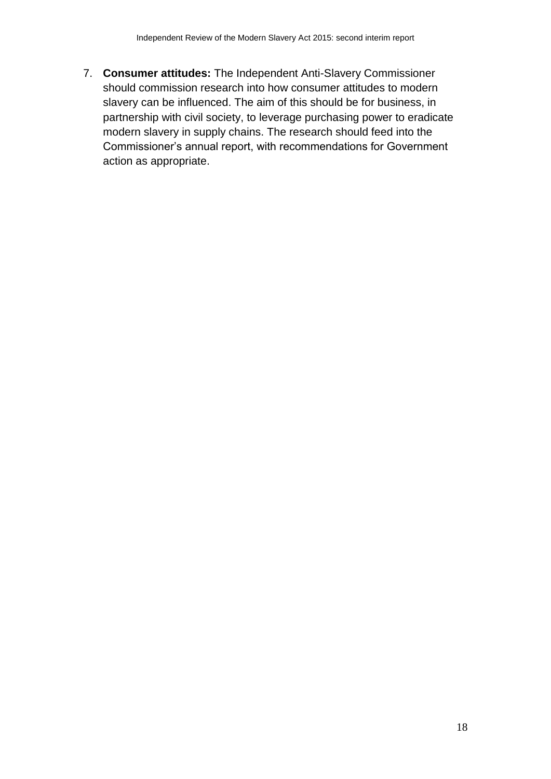7. **Consumer attitudes:** The Independent Anti-Slavery Commissioner should commission research into how consumer attitudes to modern slavery can be influenced. The aim of this should be for business, in partnership with civil society, to leverage purchasing power to eradicate modern slavery in supply chains. The research should feed into the Commissioner's annual report, with recommendations for Government action as appropriate.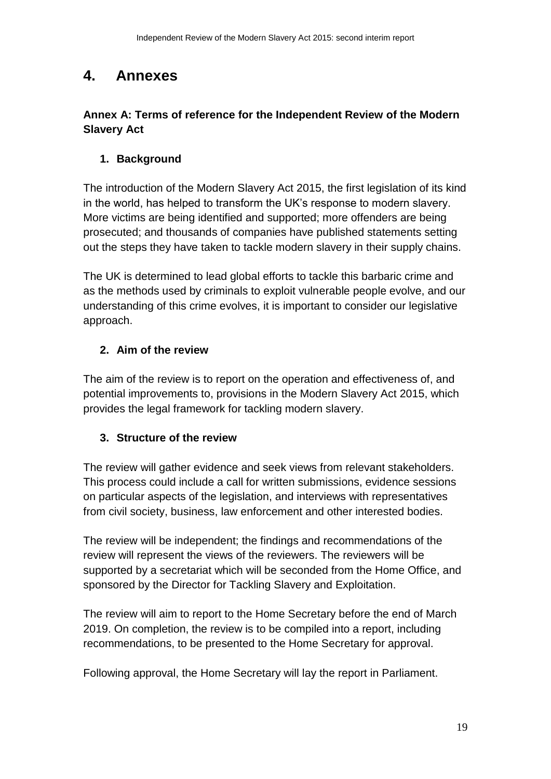# <span id="page-18-0"></span>**4. Annexes**

# <span id="page-18-1"></span>**Annex A: Terms of reference for the Independent Review of the Modern Slavery Act**

# **1. Background**

The introduction of the Modern Slavery Act 2015, the first legislation of its kind in the world, has helped to transform the UK's response to modern slavery. More victims are being identified and supported; more offenders are being prosecuted; and thousands of companies have published statements setting out the steps they have taken to tackle modern slavery in their supply chains.

The UK is determined to lead global efforts to tackle this barbaric crime and as the methods used by criminals to exploit vulnerable people evolve, and our understanding of this crime evolves, it is important to consider our legislative approach.

# **2. Aim of the review**

The aim of the review is to report on the operation and effectiveness of, and potential improvements to, provisions in the Modern Slavery Act 2015, which provides the legal framework for tackling modern slavery.

# **3. Structure of the review**

The review will gather evidence and seek views from relevant stakeholders. This process could include a call for written submissions, evidence sessions on particular aspects of the legislation, and interviews with representatives from civil society, business, law enforcement and other interested bodies.

The review will be independent; the findings and recommendations of the review will represent the views of the reviewers. The reviewers will be supported by a secretariat which will be seconded from the Home Office, and sponsored by the Director for Tackling Slavery and Exploitation.

The review will aim to report to the Home Secretary before the end of March 2019. On completion, the review is to be compiled into a report, including recommendations, to be presented to the Home Secretary for approval.

Following approval, the Home Secretary will lay the report in Parliament.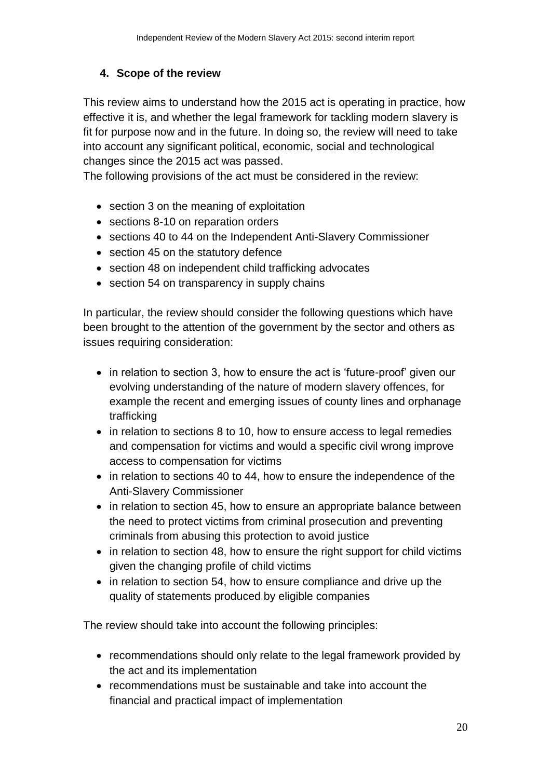## **4. Scope of the review**

This review aims to understand how the 2015 act is operating in practice, how effective it is, and whether the legal framework for tackling modern slavery is fit for purpose now and in the future. In doing so, the review will need to take into account any significant political, economic, social and technological changes since the 2015 act was passed.

The following provisions of the act must be considered in the review:

- section 3 on the meaning of exploitation
- sections 8-10 on reparation orders
- sections 40 to 44 on the Independent Anti-Slavery Commissioner
- section 45 on the statutory defence
- section 48 on independent child trafficking advocates
- section 54 on transparency in supply chains

In particular, the review should consider the following questions which have been brought to the attention of the government by the sector and others as issues requiring consideration:

- in relation to section 3, how to ensure the act is 'future-proof' given our evolving understanding of the nature of modern slavery offences, for example the recent and emerging issues of county lines and orphanage trafficking
- in relation to sections 8 to 10, how to ensure access to legal remedies and compensation for victims and would a specific civil wrong improve access to compensation for victims
- in relation to sections 40 to 44, how to ensure the independence of the Anti-Slavery Commissioner
- in relation to section 45, how to ensure an appropriate balance between the need to protect victims from criminal prosecution and preventing criminals from abusing this protection to avoid justice
- in relation to section 48, how to ensure the right support for child victims given the changing profile of child victims
- in relation to section 54, how to ensure compliance and drive up the quality of statements produced by eligible companies

The review should take into account the following principles:

- recommendations should only relate to the legal framework provided by the act and its implementation
- recommendations must be sustainable and take into account the financial and practical impact of implementation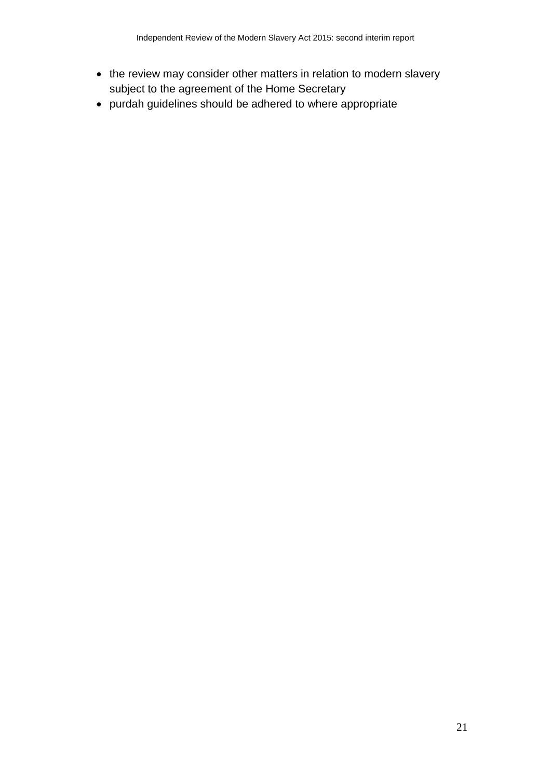- the review may consider other matters in relation to modern slavery subject to the agreement of the Home Secretary
- purdah guidelines should be adhered to where appropriate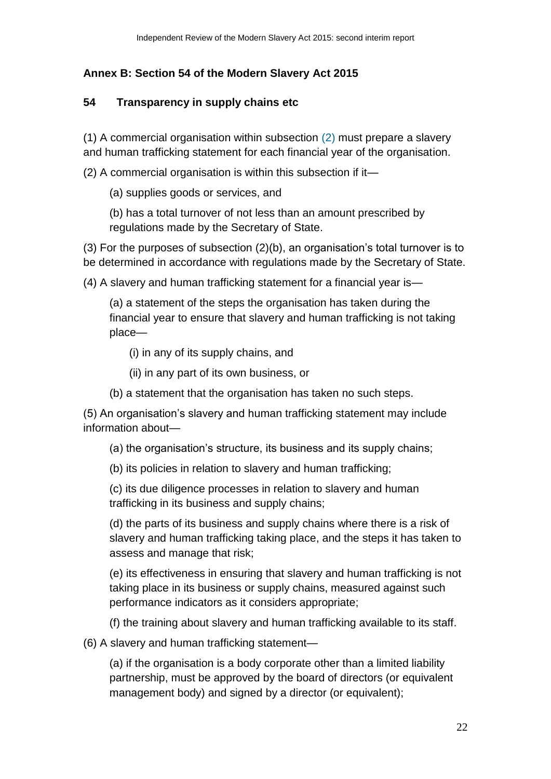# <span id="page-21-0"></span>**Annex B: Section 54 of the Modern Slavery Act 2015**

#### **54 Transparency in supply chains etc**

(1) A commercial organisation within subsection [\(2\)](http://www.legislation.gov.uk/ukpga/2015/30/section/54/enacted#section-54-2) must prepare a slavery and human trafficking statement for each financial year of the organisation.

(2) A commercial organisation is within this subsection if it—

(a) supplies goods or services, and

(b) has a total turnover of not less than an amount prescribed by regulations made by the Secretary of State.

(3) For the purposes of subsection (2)(b), an organisation's total turnover is to be determined in accordance with regulations made by the Secretary of State.

(4) A slavery and human trafficking statement for a financial year is—

(a) a statement of the steps the organisation has taken during the financial year to ensure that slavery and human trafficking is not taking place—

(i) in any of its supply chains, and

(ii) in any part of its own business, or

(b) a statement that the organisation has taken no such steps.

(5) An organisation's slavery and human trafficking statement may include information about—

(a) the organisation's structure, its business and its supply chains;

(b) its policies in relation to slavery and human trafficking;

(c) its due diligence processes in relation to slavery and human trafficking in its business and supply chains;

(d) the parts of its business and supply chains where there is a risk of slavery and human trafficking taking place, and the steps it has taken to assess and manage that risk;

(e) its effectiveness in ensuring that slavery and human trafficking is not taking place in its business or supply chains, measured against such performance indicators as it considers appropriate;

(f) the training about slavery and human trafficking available to its staff.

(6) A slavery and human trafficking statement—

(a) if the organisation is a body corporate other than a limited liability partnership, must be approved by the board of directors (or equivalent management body) and signed by a director (or equivalent);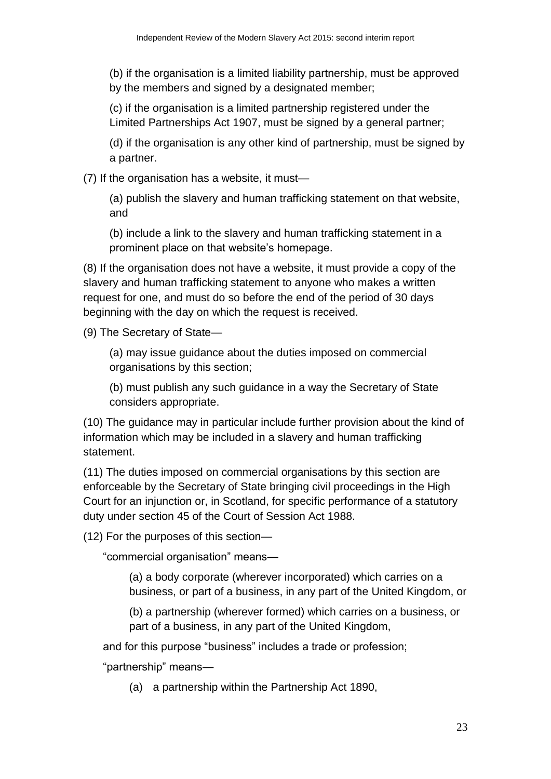(b) if the organisation is a limited liability partnership, must be approved by the members and signed by a designated member;

(c) if the organisation is a limited partnership registered under the Limited Partnerships Act 1907, must be signed by a general partner;

(d) if the organisation is any other kind of partnership, must be signed by a partner.

(7) If the organisation has a website, it must—

(a) publish the slavery and human trafficking statement on that website, and

(b) include a link to the slavery and human trafficking statement in a prominent place on that website's homepage.

(8) If the organisation does not have a website, it must provide a copy of the slavery and human trafficking statement to anyone who makes a written request for one, and must do so before the end of the period of 30 days beginning with the day on which the request is received.

(9) The Secretary of State—

(a) may issue guidance about the duties imposed on commercial organisations by this section;

(b) must publish any such guidance in a way the Secretary of State considers appropriate.

(10) The guidance may in particular include further provision about the kind of information which may be included in a slavery and human trafficking statement.

(11) The duties imposed on commercial organisations by this section are enforceable by the Secretary of State bringing civil proceedings in the High Court for an injunction or, in Scotland, for specific performance of a statutory duty under section 45 of the Court of Session Act 1988.

(12) For the purposes of this section—

"commercial organisation" means—

(a) a body corporate (wherever incorporated) which carries on a business, or part of a business, in any part of the United Kingdom, or

(b) a partnership (wherever formed) which carries on a business, or part of a business, in any part of the United Kingdom,

and for this purpose "business" includes a trade or profession;

"partnership" means—

(a) a partnership within the Partnership Act 1890,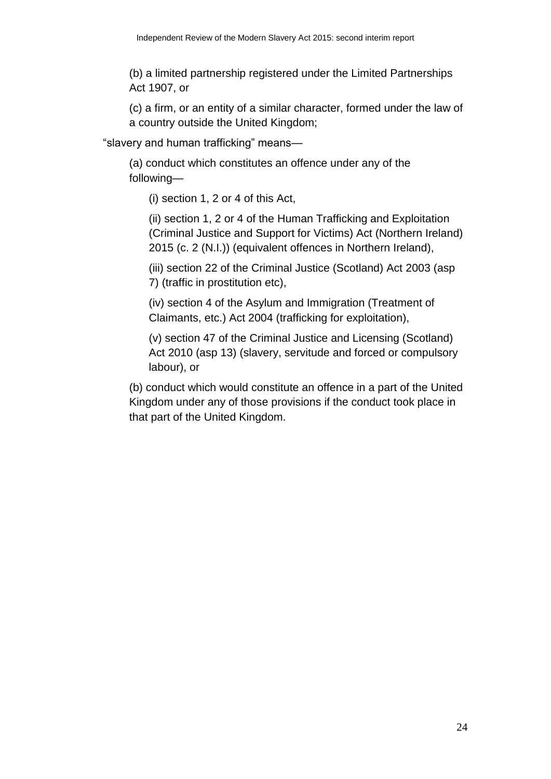(b) a limited partnership registered under the Limited Partnerships Act 1907, or

(c) a firm, or an entity of a similar character, formed under the law of a country outside the United Kingdom;

"slavery and human trafficking" means—

(a) conduct which constitutes an offence under any of the following—

(i) section 1, 2 or 4 of this Act,

(ii) section 1, 2 or 4 of the [Human Trafficking and Exploitation](http://www.legislation.gov.uk/id/nia/2015/2)  [\(Criminal Justice and Support for Victims\) Act \(Northern Ireland\)](http://www.legislation.gov.uk/id/nia/2015/2)  [2015 \(c. 2 \(N.I.\)\)](http://www.legislation.gov.uk/id/nia/2015/2) (equivalent offences in Northern Ireland),

(iii) section 22 of the Criminal Justice (Scotland) Act [2003 \(asp](http://www.legislation.gov.uk/id/asp/2003/7)  [7\)](http://www.legislation.gov.uk/id/asp/2003/7) (traffic in prostitution etc),

(iv) section 4 of the Asylum and Immigration (Treatment of Claimants, etc.) Act 2004 (trafficking for exploitation),

(v) section 47 of the Criminal Justice and Licensing (Scotland) Act [2010 \(asp 13\)](http://www.legislation.gov.uk/id/asp/2010/13) (slavery, servitude and forced or compulsory labour), or

(b) conduct which would constitute an offence in a part of the United Kingdom under any of those provisions if the conduct took place in that part of the United Kingdom.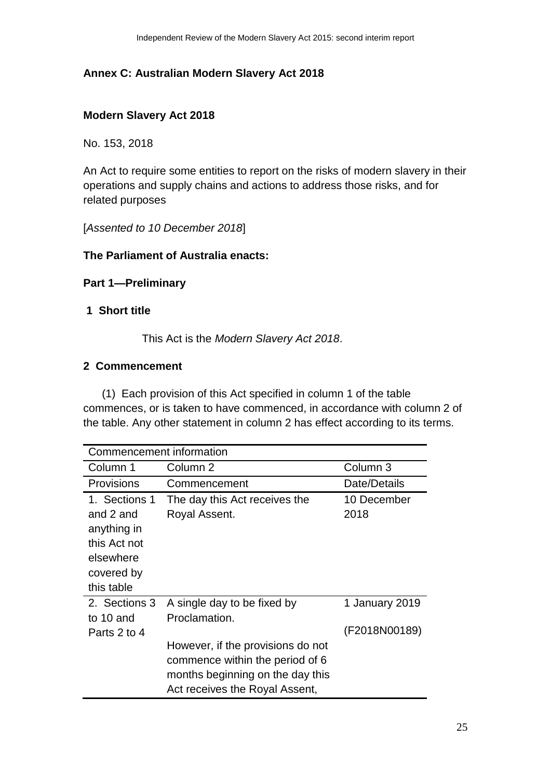#### <span id="page-24-0"></span>**Annex C: Australian Modern Slavery Act 2018**

#### **Modern Slavery Act 2018**

No. 153, 2018

An Act to require some entities to report on the risks of modern slavery in their operations and supply chains and actions to address those risks, and for related purposes

[*Assented to 10 December 2018*]

#### **The Parliament of Australia enacts:**

#### **Part 1—Preliminary**

#### **1 Short title**

This Act is the *Modern Slavery Act 2018*.

#### **2 Commencement**

 (1) Each provision of this Act specified in column 1 of the table commences, or is taken to have commenced, in accordance with column 2 of the table. Any other statement in column 2 has effect according to its terms.

| Commencement information |                                   |                |  |
|--------------------------|-----------------------------------|----------------|--|
| Column 1                 | Column 2                          | Column 3       |  |
| <b>Provisions</b>        | Commencement                      | Date/Details   |  |
| 1. Sections 1            | The day this Act receives the     | 10 December    |  |
| and 2 and                | Royal Assent.                     | 2018           |  |
| anything in              |                                   |                |  |
| this Act not             |                                   |                |  |
| elsewhere                |                                   |                |  |
| covered by               |                                   |                |  |
| this table               |                                   |                |  |
| 2. Sections 3            | A single day to be fixed by       | 1 January 2019 |  |
| to 10 and                | Proclamation.                     |                |  |
| Parts 2 to 4             |                                   | (F2018N00189)  |  |
|                          | However, if the provisions do not |                |  |
|                          | commence within the period of 6   |                |  |
|                          | months beginning on the day this  |                |  |
|                          | Act receives the Royal Assent,    |                |  |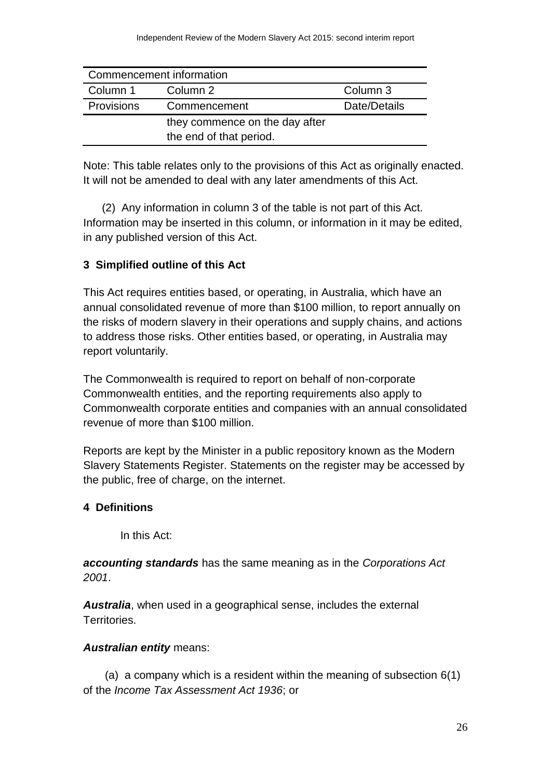| Commencement information |                                |              |  |
|--------------------------|--------------------------------|--------------|--|
| Column 1                 | Column 2                       | Column 3     |  |
| <b>Provisions</b>        | Commencement                   | Date/Details |  |
|                          | they commence on the day after |              |  |
|                          | the end of that period.        |              |  |

Note: This table relates only to the provisions of this Act as originally enacted. It will not be amended to deal with any later amendments of this Act.

 (2) Any information in column 3 of the table is not part of this Act. Information may be inserted in this column, or information in it may be edited, in any published version of this Act.

#### **3 Simplified outline of this Act**

This Act requires entities based, or operating, in Australia, which have an annual consolidated revenue of more than \$100 million, to report annually on the risks of modern slavery in their operations and supply chains, and actions to address those risks. Other entities based, or operating, in Australia may report voluntarily.

The Commonwealth is required to report on behalf of non-corporate Commonwealth entities, and the reporting requirements also apply to Commonwealth corporate entities and companies with an annual consolidated revenue of more than \$100 million.

Reports are kept by the Minister in a public repository known as the Modern Slavery Statements Register. Statements on the register may be accessed by the public, free of charge, on the internet.

# **4 Definitions**

In this Act:

*accounting standards* has the same meaning as in the *Corporations Act 2001*.

*Australia*, when used in a geographical sense, includes the external **Territories** 

#### *Australian entity* means:

 (a) a company which is a resident within the meaning of subsection 6(1) of the *Income Tax Assessment Act 1936*; or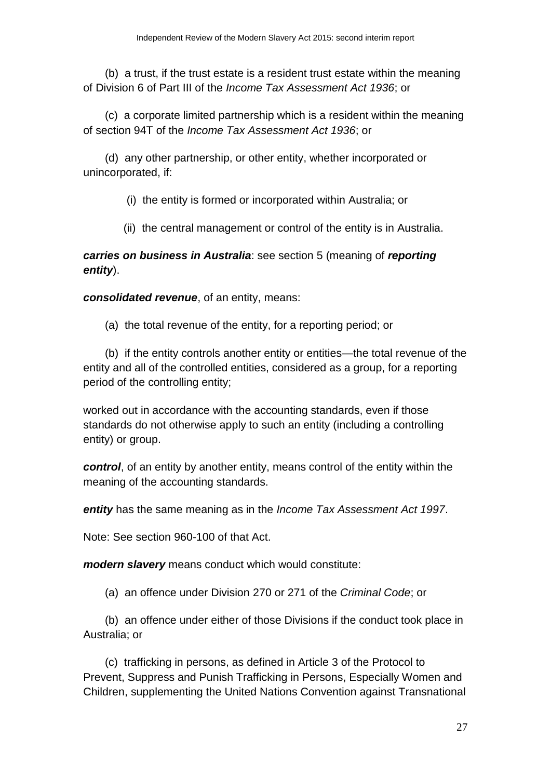(b) a trust, if the trust estate is a resident trust estate within the meaning of Division 6 of Part III of the *Income Tax Assessment Act 1936*; or

 (c) a corporate limited partnership which is a resident within the meaning of section 94T of the *Income Tax Assessment Act 1936*; or

(d) any other partnership, or other entity, whether incorporated or unincorporated, if:

(i) the entity is formed or incorporated within Australia; or

(ii) the central management or control of the entity is in Australia.

*carries on business in Australia*: see section 5 (meaning of *reporting entity*).

*consolidated revenue*, of an entity, means:

(a) the total revenue of the entity, for a reporting period; or

 (b) if the entity controls another entity or entities—the total revenue of the entity and all of the controlled entities, considered as a group, for a reporting period of the controlling entity;

worked out in accordance with the accounting standards, even if those standards do not otherwise apply to such an entity (including a controlling entity) or group.

*control*, of an entity by another entity, means control of the entity within the meaning of the accounting standards.

*entity* has the same meaning as in the *Income Tax Assessment Act 1997*.

Note: See section 960-100 of that Act.

*modern slavery* means conduct which would constitute:

(a) an offence under Division 270 or 271 of the *Criminal Code*; or

 (b) an offence under either of those Divisions if the conduct took place in Australia; or

 (c) trafficking in persons, as defined in Article 3 of the Protocol to Prevent, Suppress and Punish Trafficking in Persons, Especially Women and Children, supplementing the United Nations Convention against Transnational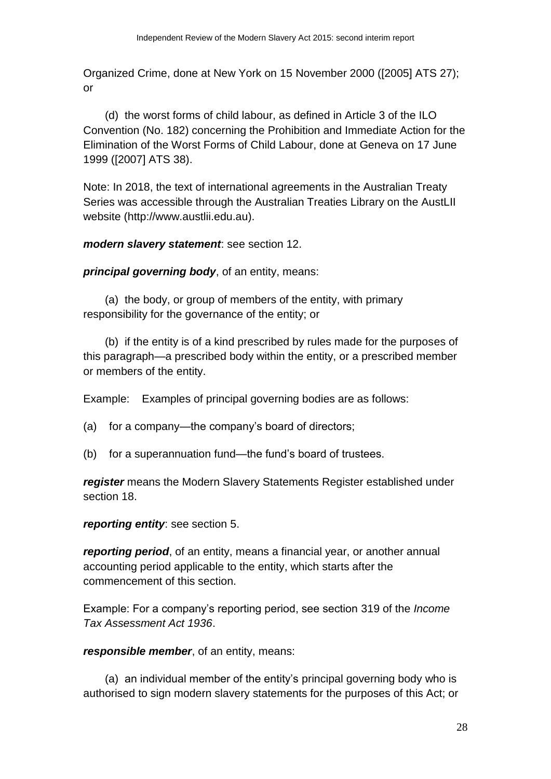Organized Crime, done at New York on 15 November 2000 ([2005] ATS 27); or

 (d) the worst forms of child labour, as defined in Article 3 of the ILO Convention (No. 182) concerning the Prohibition and Immediate Action for the Elimination of the Worst Forms of Child Labour, done at Geneva on 17 June 1999 ([2007] ATS 38).

Note: In 2018, the text of international agreements in the Australian Treaty Series was accessible through the Australian Treaties Library on the AustLII website (http://www.austlii.edu.au).

*modern slavery statement*: see section 12.

*principal governing body*, of an entity, means:

 (a) the body, or group of members of the entity, with primary responsibility for the governance of the entity; or

 (b) if the entity is of a kind prescribed by rules made for the purposes of this paragraph—a prescribed body within the entity, or a prescribed member or members of the entity.

Example: Examples of principal governing bodies are as follows:

(a) for a company—the company's board of directors;

(b) for a superannuation fund—the fund's board of trustees.

*register* means the Modern Slavery Statements Register established under section 18.

*reporting entity*: see section 5.

*reporting period*, of an entity, means a financial year, or another annual accounting period applicable to the entity, which starts after the commencement of this section.

Example: For a company's reporting period, see section 319 of the *Income Tax Assessment Act 1936*.

*responsible member*, of an entity, means:

 (a) an individual member of the entity's principal governing body who is authorised to sign modern slavery statements for the purposes of this Act; or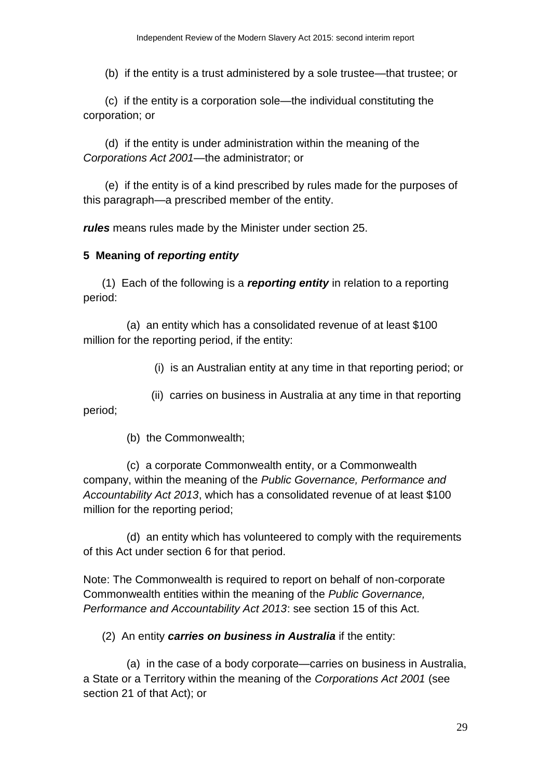(b) if the entity is a trust administered by a sole trustee—that trustee; or

 (c) if the entity is a corporation sole—the individual constituting the corporation; or

 (d) if the entity is under administration within the meaning of the *Corporations Act 2001*—the administrator; or

 (e) if the entity is of a kind prescribed by rules made for the purposes of this paragraph—a prescribed member of the entity.

*rules* means rules made by the Minister under section 25.

#### **5 Meaning of** *reporting entity*

 (1) Each of the following is a *reporting entity* in relation to a reporting period:

 (a) an entity which has a consolidated revenue of at least \$100 million for the reporting period, if the entity:

(i) is an Australian entity at any time in that reporting period; or

 (ii) carries on business in Australia at any time in that reporting period;

(b) the Commonwealth;

 (c) a corporate Commonwealth entity, or a Commonwealth company, within the meaning of the *Public Governance, Performance and Accountability Act 2013*, which has a consolidated revenue of at least \$100 million for the reporting period;

 (d) an entity which has volunteered to comply with the requirements of this Act under section 6 for that period.

Note: The Commonwealth is required to report on behalf of non-corporate Commonwealth entities within the meaning of the *Public Governance, Performance and Accountability Act 2013*: see section 15 of this Act.

(2) An entity *carries on business in Australia* if the entity:

 (a) in the case of a body corporate—carries on business in Australia, a State or a Territory within the meaning of the *Corporations Act 2001* (see section 21 of that Act); or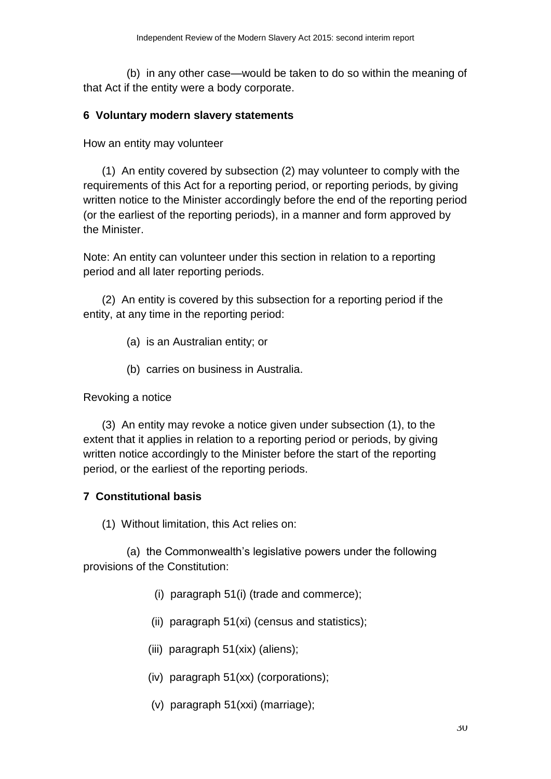(b) in any other case—would be taken to do so within the meaning of that Act if the entity were a body corporate.

#### **6 Voluntary modern slavery statements**

How an entity may volunteer

 (1) An entity covered by subsection (2) may volunteer to comply with the requirements of this Act for a reporting period, or reporting periods, by giving written notice to the Minister accordingly before the end of the reporting period (or the earliest of the reporting periods), in a manner and form approved by the Minister.

Note: An entity can volunteer under this section in relation to a reporting period and all later reporting periods.

 (2) An entity is covered by this subsection for a reporting period if the entity, at any time in the reporting period:

- (a) is an Australian entity; or
- (b) carries on business in Australia.

#### Revoking a notice

 (3) An entity may revoke a notice given under subsection (1), to the extent that it applies in relation to a reporting period or periods, by giving written notice accordingly to the Minister before the start of the reporting period, or the earliest of the reporting periods.

#### **7 Constitutional basis**

(1) Without limitation, this Act relies on:

 (a) the Commonwealth's legislative powers under the following provisions of the Constitution:

- (i) paragraph 51(i) (trade and commerce);
- (ii) paragraph 51(xi) (census and statistics);
- (iii) paragraph 51(xix) (aliens);
- (iv) paragraph 51(xx) (corporations);
- (v) paragraph 51(xxi) (marriage);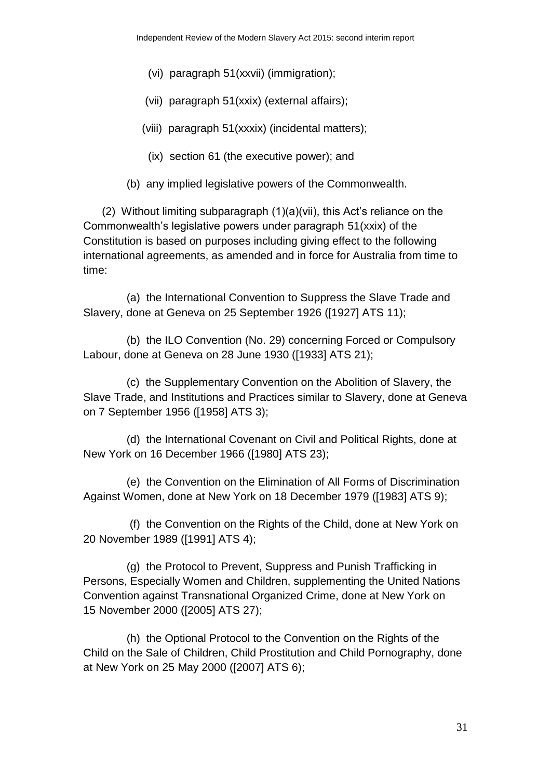- (vi) paragraph 51(xxvii) (immigration);
- (vii) paragraph 51(xxix) (external affairs);
- (viii) paragraph 51(xxxix) (incidental matters);
	- (ix) section 61 (the executive power); and
- (b) any implied legislative powers of the Commonwealth.

 (2) Without limiting subparagraph (1)(a)(vii), this Act's reliance on the Commonwealth's legislative powers under paragraph 51(xxix) of the Constitution is based on purposes including giving effect to the following international agreements, as amended and in force for Australia from time to time:

 (a) the International Convention to Suppress the Slave Trade and Slavery, done at Geneva on 25 September 1926 ([1927] ATS 11);

 (b) the ILO Convention (No. 29) concerning Forced or Compulsory Labour, done at Geneva on 28 June 1930 ([1933] ATS 21);

 (c) the Supplementary Convention on the Abolition of Slavery, the Slave Trade, and Institutions and Practices similar to Slavery, done at Geneva on 7 September 1956 ([1958] ATS 3);

 (d) the International Covenant on Civil and Political Rights, done at New York on 16 December 1966 ([1980] ATS 23);

 (e) the Convention on the Elimination of All Forms of Discrimination Against Women, done at New York on 18 December 1979 ([1983] ATS 9);

 (f) the Convention on the Rights of the Child, done at New York on 20 November 1989 ([1991] ATS 4);

 (g) the Protocol to Prevent, Suppress and Punish Trafficking in Persons, Especially Women and Children, supplementing the United Nations Convention against Transnational Organized Crime, done at New York on 15 November 2000 ([2005] ATS 27);

 (h) the Optional Protocol to the Convention on the Rights of the Child on the Sale of Children, Child Prostitution and Child Pornography, done at New York on 25 May 2000 ([2007] ATS 6);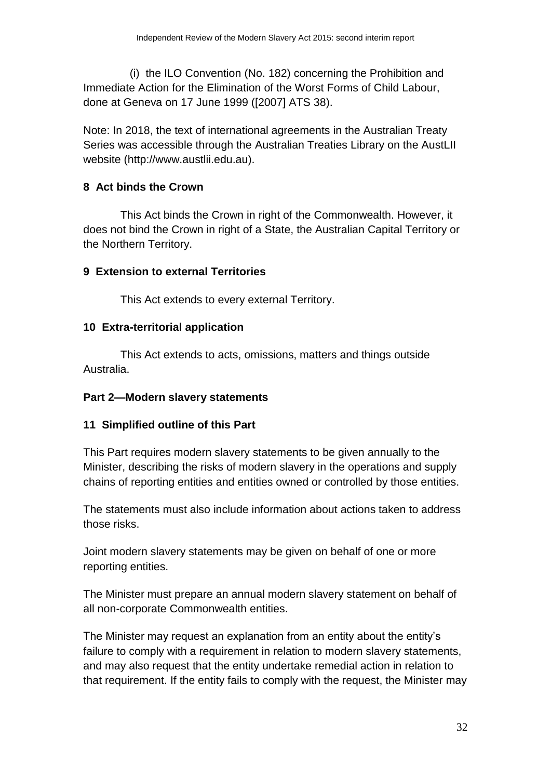(i) the ILO Convention (No. 182) concerning the Prohibition and Immediate Action for the Elimination of the Worst Forms of Child Labour, done at Geneva on 17 June 1999 ([2007] ATS 38).

Note: In 2018, the text of international agreements in the Australian Treaty Series was accessible through the Australian Treaties Library on the AustLII website (http://www.austlii.edu.au).

#### **8 Act binds the Crown**

 This Act binds the Crown in right of the Commonwealth. However, it does not bind the Crown in right of a State, the Australian Capital Territory or the Northern Territory.

#### **9 Extension to external Territories**

This Act extends to every external Territory.

#### **10 Extra-territorial application**

 This Act extends to acts, omissions, matters and things outside Australia.

#### **Part 2—Modern slavery statements**

#### **11 Simplified outline of this Part**

This Part requires modern slavery statements to be given annually to the Minister, describing the risks of modern slavery in the operations and supply chains of reporting entities and entities owned or controlled by those entities.

The statements must also include information about actions taken to address those risks.

Joint modern slavery statements may be given on behalf of one or more reporting entities.

The Minister must prepare an annual modern slavery statement on behalf of all non-corporate Commonwealth entities.

The Minister may request an explanation from an entity about the entity's failure to comply with a requirement in relation to modern slavery statements, and may also request that the entity undertake remedial action in relation to that requirement. If the entity fails to comply with the request, the Minister may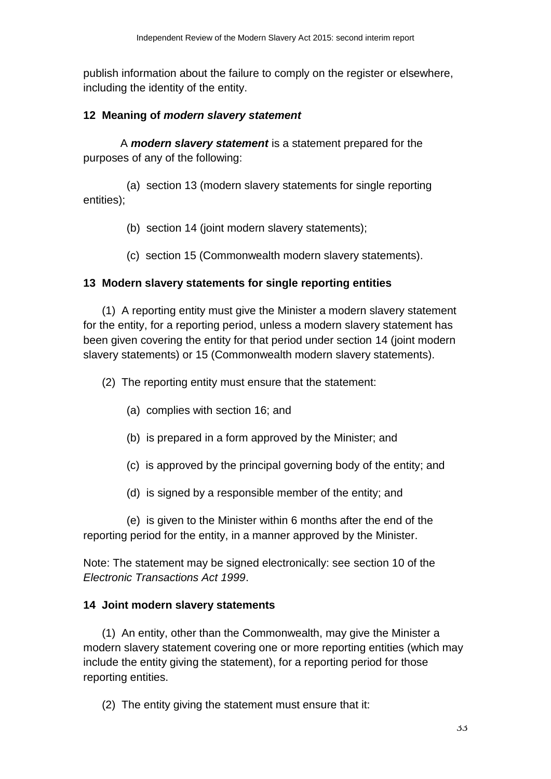publish information about the failure to comply on the register or elsewhere, including the identity of the entity.

#### **12 Meaning of** *modern slavery statement*

 A *modern slavery statement* is a statement prepared for the purposes of any of the following:

 (a) section 13 (modern slavery statements for single reporting entities);

- (b) section 14 (joint modern slavery statements);
- (c) section 15 (Commonwealth modern slavery statements).

#### **13 Modern slavery statements for single reporting entities**

 (1) A reporting entity must give the Minister a modern slavery statement for the entity, for a reporting period, unless a modern slavery statement has been given covering the entity for that period under section 14 (joint modern slavery statements) or 15 (Commonwealth modern slavery statements).

(2) The reporting entity must ensure that the statement:

- (a) complies with section 16; and
- (b) is prepared in a form approved by the Minister; and
- (c) is approved by the principal governing body of the entity; and
- (d) is signed by a responsible member of the entity; and

 (e) is given to the Minister within 6 months after the end of the reporting period for the entity, in a manner approved by the Minister.

Note: The statement may be signed electronically: see section 10 of the *Electronic Transactions Act 1999*.

#### **14 Joint modern slavery statements**

 (1) An entity, other than the Commonwealth, may give the Minister a modern slavery statement covering one or more reporting entities (which may include the entity giving the statement), for a reporting period for those reporting entities.

(2) The entity giving the statement must ensure that it: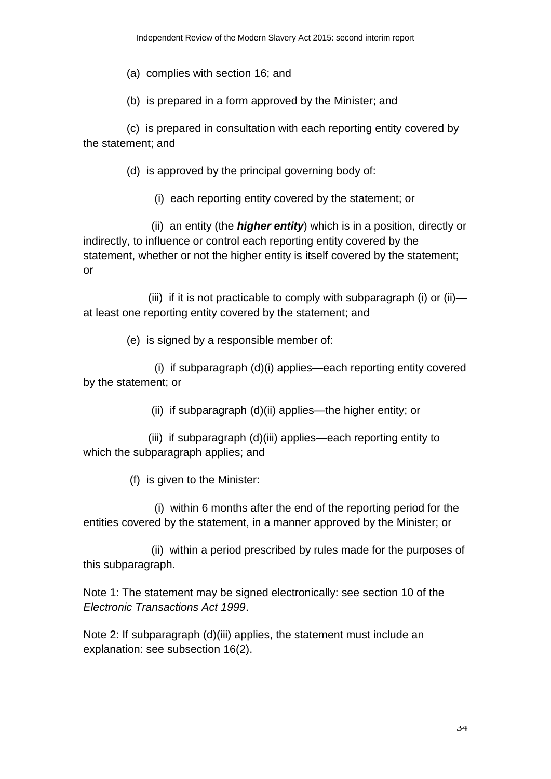- (a) complies with section 16; and
- (b) is prepared in a form approved by the Minister; and

 (c) is prepared in consultation with each reporting entity covered by the statement; and

- (d) is approved by the principal governing body of:
	- (i) each reporting entity covered by the statement; or

 (ii) an entity (the *higher entity*) which is in a position, directly or indirectly, to influence or control each reporting entity covered by the statement, whether or not the higher entity is itself covered by the statement; or

 (iii) if it is not practicable to comply with subparagraph (i) or (ii) at least one reporting entity covered by the statement; and

(e) is signed by a responsible member of:

 (i) if subparagraph (d)(i) applies—each reporting entity covered by the statement; or

(ii) if subparagraph (d)(ii) applies—the higher entity; or

 (iii) if subparagraph (d)(iii) applies—each reporting entity to which the subparagraph applies; and

(f) is given to the Minister:

 (i) within 6 months after the end of the reporting period for the entities covered by the statement, in a manner approved by the Minister; or

 (ii) within a period prescribed by rules made for the purposes of this subparagraph.

Note 1: The statement may be signed electronically: see section 10 of the *Electronic Transactions Act 1999*.

Note 2: If subparagraph (d)(iii) applies, the statement must include an explanation: see subsection 16(2).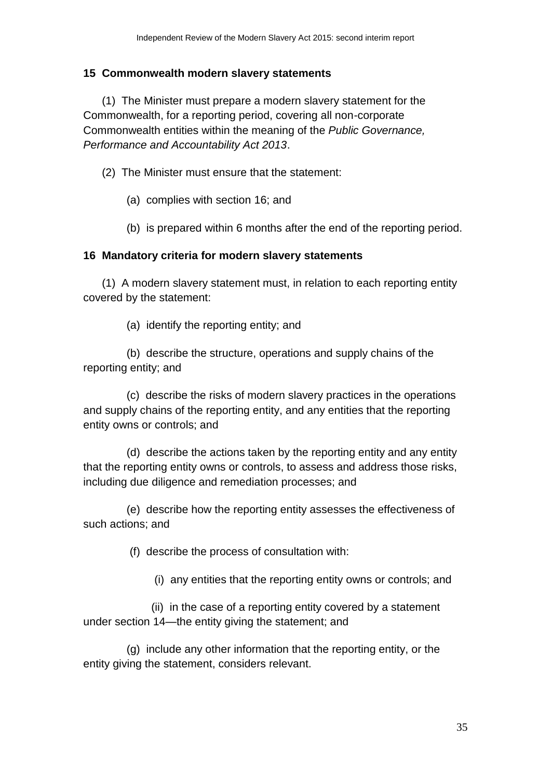#### **15 Commonwealth modern slavery statements**

 (1) The Minister must prepare a modern slavery statement for the Commonwealth, for a reporting period, covering all non-corporate Commonwealth entities within the meaning of the *Public Governance, Performance and Accountability Act 2013*.

(2) The Minister must ensure that the statement:

- (a) complies with section 16; and
- (b) is prepared within 6 months after the end of the reporting period.

#### **16 Mandatory criteria for modern slavery statements**

 (1) A modern slavery statement must, in relation to each reporting entity covered by the statement:

(a) identify the reporting entity; and

 (b) describe the structure, operations and supply chains of the reporting entity; and

 (c) describe the risks of modern slavery practices in the operations and supply chains of the reporting entity, and any entities that the reporting entity owns or controls; and

 (d) describe the actions taken by the reporting entity and any entity that the reporting entity owns or controls, to assess and address those risks, including due diligence and remediation processes; and

 (e) describe how the reporting entity assesses the effectiveness of such actions; and

(f) describe the process of consultation with:

(i) any entities that the reporting entity owns or controls; and

 (ii) in the case of a reporting entity covered by a statement under section 14—the entity giving the statement; and

 (g) include any other information that the reporting entity, or the entity giving the statement, considers relevant.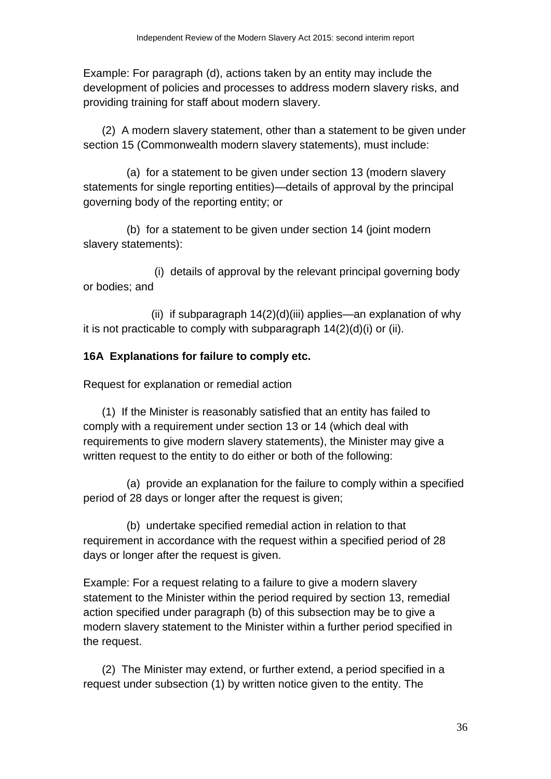Example: For paragraph (d), actions taken by an entity may include the development of policies and processes to address modern slavery risks, and providing training for staff about modern slavery.

 (2) A modern slavery statement, other than a statement to be given under section 15 (Commonwealth modern slavery statements), must include:

 (a) for a statement to be given under section 13 (modern slavery statements for single reporting entities)—details of approval by the principal governing body of the reporting entity; or

 (b) for a statement to be given under section 14 (joint modern slavery statements):

 (i) details of approval by the relevant principal governing body or bodies; and

(ii) if subparagraph  $14(2)(d)(iii)$  applies—an explanation of why it is not practicable to comply with subparagraph 14(2)(d)(i) or (ii).

# **16A Explanations for failure to comply etc.**

Request for explanation or remedial action

 (1) If the Minister is reasonably satisfied that an entity has failed to comply with a requirement under section 13 or 14 (which deal with requirements to give modern slavery statements), the Minister may give a written request to the entity to do either or both of the following:

 (a) provide an explanation for the failure to comply within a specified period of 28 days or longer after the request is given;

 (b) undertake specified remedial action in relation to that requirement in accordance with the request within a specified period of 28 days or longer after the request is given.

Example: For a request relating to a failure to give a modern slavery statement to the Minister within the period required by section 13, remedial action specified under paragraph (b) of this subsection may be to give a modern slavery statement to the Minister within a further period specified in the request.

 (2) The Minister may extend, or further extend, a period specified in a request under subsection (1) by written notice given to the entity. The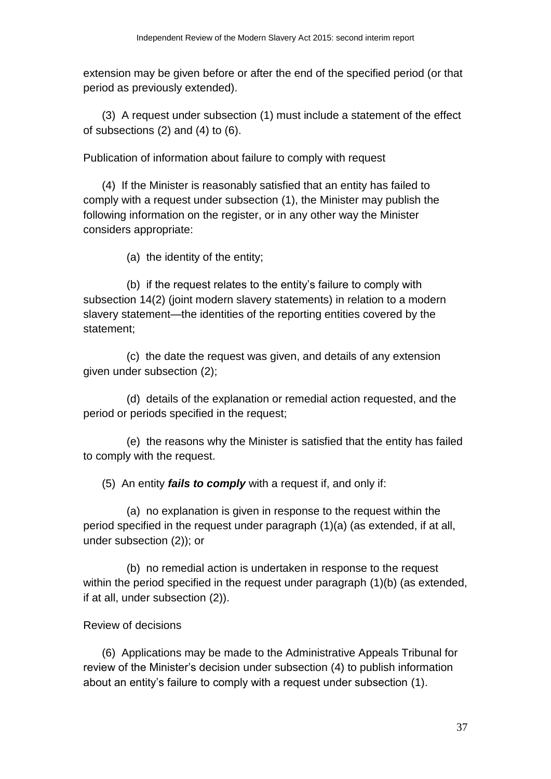extension may be given before or after the end of the specified period (or that period as previously extended).

 (3) A request under subsection (1) must include a statement of the effect of subsections (2) and (4) to (6).

Publication of information about failure to comply with request

 (4) If the Minister is reasonably satisfied that an entity has failed to comply with a request under subsection (1), the Minister may publish the following information on the register, or in any other way the Minister considers appropriate:

(a) the identity of the entity;

 (b) if the request relates to the entity's failure to comply with subsection 14(2) (joint modern slavery statements) in relation to a modern slavery statement—the identities of the reporting entities covered by the statement;

 (c) the date the request was given, and details of any extension given under subsection (2);

 (d) details of the explanation or remedial action requested, and the period or periods specified in the request;

 (e) the reasons why the Minister is satisfied that the entity has failed to comply with the request.

(5) An entity *fails to comply* with a request if, and only if:

 (a) no explanation is given in response to the request within the period specified in the request under paragraph (1)(a) (as extended, if at all, under subsection (2)); or

 (b) no remedial action is undertaken in response to the request within the period specified in the request under paragraph (1)(b) (as extended, if at all, under subsection (2)).

# Review of decisions

 (6) Applications may be made to the Administrative Appeals Tribunal for review of the Minister's decision under subsection (4) to publish information about an entity's failure to comply with a request under subsection (1).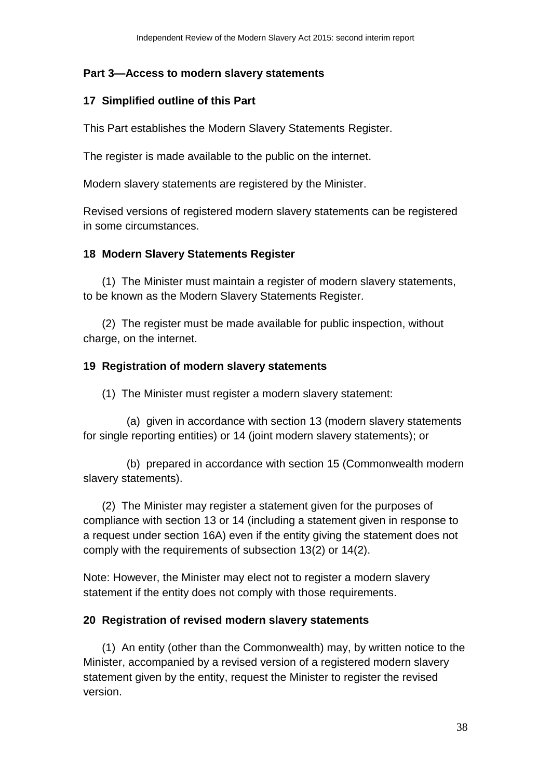#### **Part 3—Access to modern slavery statements**

#### **17 Simplified outline of this Part**

This Part establishes the Modern Slavery Statements Register.

The register is made available to the public on the internet.

Modern slavery statements are registered by the Minister.

Revised versions of registered modern slavery statements can be registered in some circumstances.

# **18 Modern Slavery Statements Register**

 (1) The Minister must maintain a register of modern slavery statements, to be known as the Modern Slavery Statements Register.

 (2) The register must be made available for public inspection, without charge, on the internet.

# **19 Registration of modern slavery statements**

(1) The Minister must register a modern slavery statement:

 (a) given in accordance with section 13 (modern slavery statements for single reporting entities) or 14 (joint modern slavery statements); or

 (b) prepared in accordance with section 15 (Commonwealth modern slavery statements).

 (2) The Minister may register a statement given for the purposes of compliance with section 13 or 14 (including a statement given in response to a request under section 16A) even if the entity giving the statement does not comply with the requirements of subsection 13(2) or 14(2).

Note: However, the Minister may elect not to register a modern slavery statement if the entity does not comply with those requirements.

# **20 Registration of revised modern slavery statements**

 (1) An entity (other than the Commonwealth) may, by written notice to the Minister, accompanied by a revised version of a registered modern slavery statement given by the entity, request the Minister to register the revised version.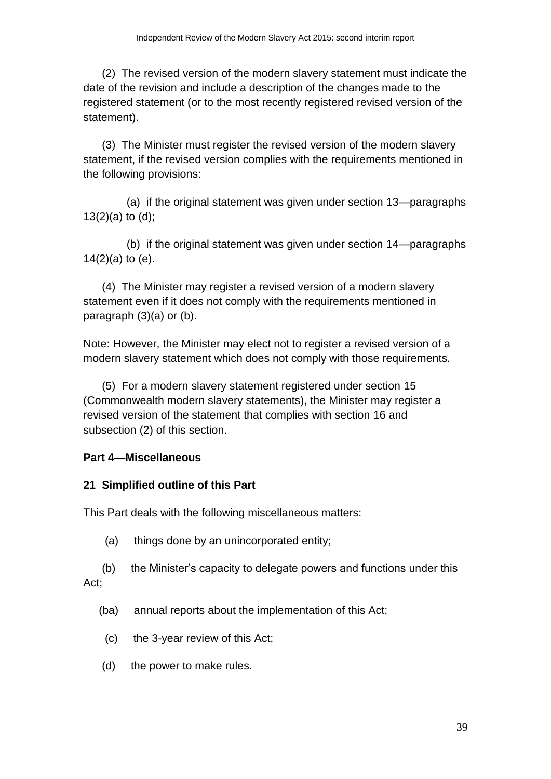(2) The revised version of the modern slavery statement must indicate the date of the revision and include a description of the changes made to the registered statement (or to the most recently registered revised version of the statement).

 (3) The Minister must register the revised version of the modern slavery statement, if the revised version complies with the requirements mentioned in the following provisions:

 (a) if the original statement was given under section 13—paragraphs 13 $(2)(a)$  to  $(d)$ ;

 (b) if the original statement was given under section 14—paragraphs 14(2)(a) to (e).

 (4) The Minister may register a revised version of a modern slavery statement even if it does not comply with the requirements mentioned in paragraph (3)(a) or (b).

Note: However, the Minister may elect not to register a revised version of a modern slavery statement which does not comply with those requirements.

 (5) For a modern slavery statement registered under section 15 (Commonwealth modern slavery statements), the Minister may register a revised version of the statement that complies with section 16 and subsection (2) of this section.

#### **Part 4—Miscellaneous**

#### **21 Simplified outline of this Part**

This Part deals with the following miscellaneous matters:

(a) things done by an unincorporated entity;

 (b) the Minister's capacity to delegate powers and functions under this Act;

- (ba) annual reports about the implementation of this Act;
	- (c) the 3-year review of this Act;
- (d) the power to make rules.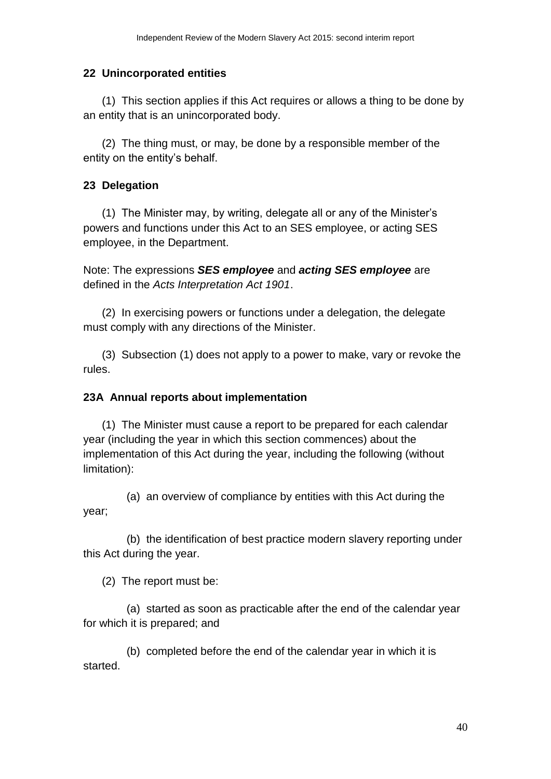#### **22 Unincorporated entities**

 (1) This section applies if this Act requires or allows a thing to be done by an entity that is an unincorporated body.

 (2) The thing must, or may, be done by a responsible member of the entity on the entity's behalf.

# **23 Delegation**

 (1) The Minister may, by writing, delegate all or any of the Minister's powers and functions under this Act to an SES employee, or acting SES employee, in the Department.

Note: The expressions *SES employee* and *acting SES employee* are defined in the *Acts Interpretation Act 1901*.

 (2) In exercising powers or functions under a delegation, the delegate must comply with any directions of the Minister.

 (3) Subsection (1) does not apply to a power to make, vary or revoke the rules.

#### **23A Annual reports about implementation**

 (1) The Minister must cause a report to be prepared for each calendar year (including the year in which this section commences) about the implementation of this Act during the year, including the following (without limitation):

 (a) an overview of compliance by entities with this Act during the year;

 (b) the identification of best practice modern slavery reporting under this Act during the year.

(2) The report must be:

 (a) started as soon as practicable after the end of the calendar year for which it is prepared; and

 (b) completed before the end of the calendar year in which it is started.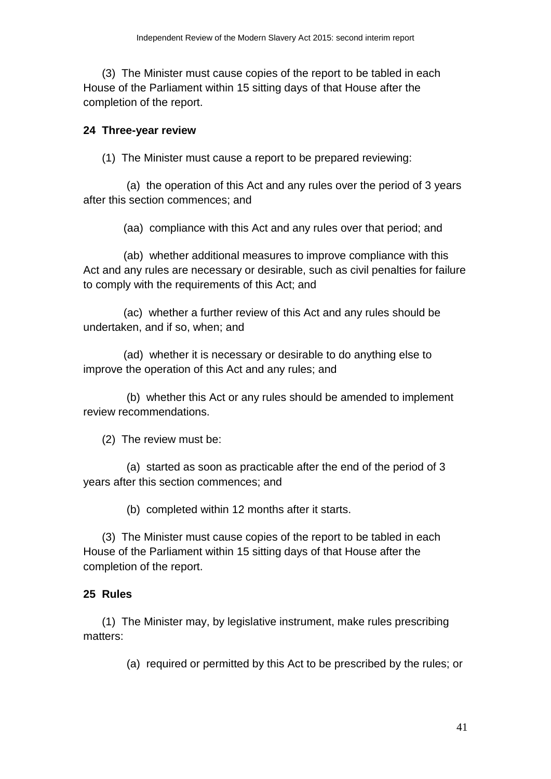(3) The Minister must cause copies of the report to be tabled in each House of the Parliament within 15 sitting days of that House after the completion of the report.

#### **24 Three-year review**

(1) The Minister must cause a report to be prepared reviewing:

 (a) the operation of this Act and any rules over the period of 3 years after this section commences; and

(aa) compliance with this Act and any rules over that period; and

 (ab) whether additional measures to improve compliance with this Act and any rules are necessary or desirable, such as civil penalties for failure to comply with the requirements of this Act; and

 (ac) whether a further review of this Act and any rules should be undertaken, and if so, when; and

 (ad) whether it is necessary or desirable to do anything else to improve the operation of this Act and any rules; and

 (b) whether this Act or any rules should be amended to implement review recommendations.

(2) The review must be:

 (a) started as soon as practicable after the end of the period of 3 years after this section commences; and

(b) completed within 12 months after it starts.

 (3) The Minister must cause copies of the report to be tabled in each House of the Parliament within 15 sitting days of that House after the completion of the report.

#### **25 Rules**

 (1) The Minister may, by legislative instrument, make rules prescribing matters:

(a) required or permitted by this Act to be prescribed by the rules; or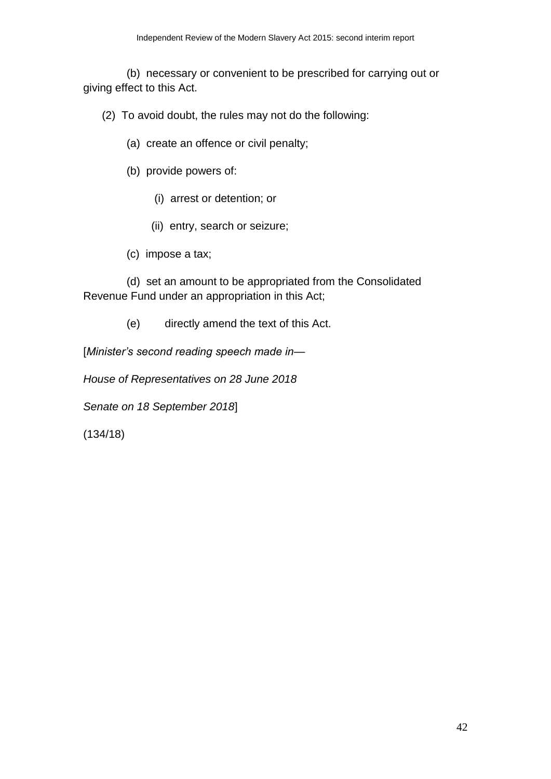(b) necessary or convenient to be prescribed for carrying out or giving effect to this Act.

(2) To avoid doubt, the rules may not do the following:

- (a) create an offence or civil penalty;
- (b) provide powers of:
	- (i) arrest or detention; or
	- (ii) entry, search or seizure;
- (c) impose a tax;

 (d) set an amount to be appropriated from the Consolidated Revenue Fund under an appropriation in this Act;

(e) directly amend the text of this Act.

[*Minister's second reading speech made in—*

*House of Representatives on 28 June 2018*

*Senate on 18 September 2018*]

(134/18)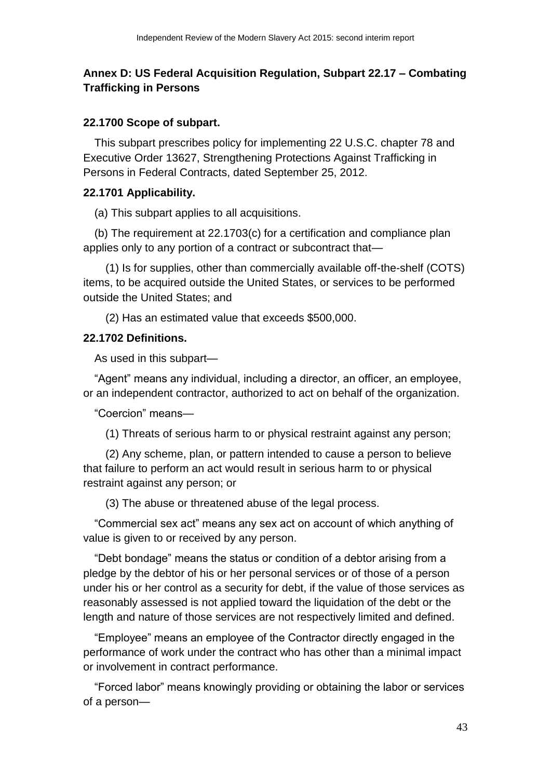# <span id="page-42-0"></span>**Annex D: US Federal Acquisition Regulation, Subpart 22.17 – Combating Trafficking in Persons**

#### **22.1700 Scope of subpart.**

This subpart prescribes policy for implementing 22 U.S.C. chapter 78 and Executive Order 13627, Strengthening Protections Against Trafficking in Persons in Federal Contracts, dated September 25, 2012.

#### **22.1701 Applicability.**

(a) This subpart applies to all acquisitions.

(b) The requirement at 22.1703(c) for a certification and compliance plan applies only to any portion of a contract or subcontract that—

(1) Is for supplies, other than commercially available off-the-shelf (COTS) items, to be acquired outside the United States, or services to be performed outside the United States; and

(2) Has an estimated value that exceeds \$500,000.

# **22.1702 Definitions.**

As used in this subpart—

"Agent" means any individual, including a director, an officer, an employee, or an independent contractor, authorized to act on behalf of the organization.

"Coercion" means—

(1) Threats of serious harm to or physical restraint against any person;

(2) Any scheme, plan, or pattern intended to cause a person to believe that failure to perform an act would result in serious harm to or physical restraint against any person; or

(3) The abuse or threatened abuse of the legal process.

"Commercial sex act" means any sex act on account of which anything of value is given to or received by any person.

"Debt bondage" means the status or condition of a debtor arising from a pledge by the debtor of his or her personal services or of those of a person under his or her control as a security for debt, if the value of those services as reasonably assessed is not applied toward the liquidation of the debt or the length and nature of those services are not respectively limited and defined.

"Employee" means an employee of the Contractor directly engaged in the performance of work under the contract who has other than a minimal impact or involvement in contract performance.

"Forced labor" means knowingly providing or obtaining the labor or services of a person—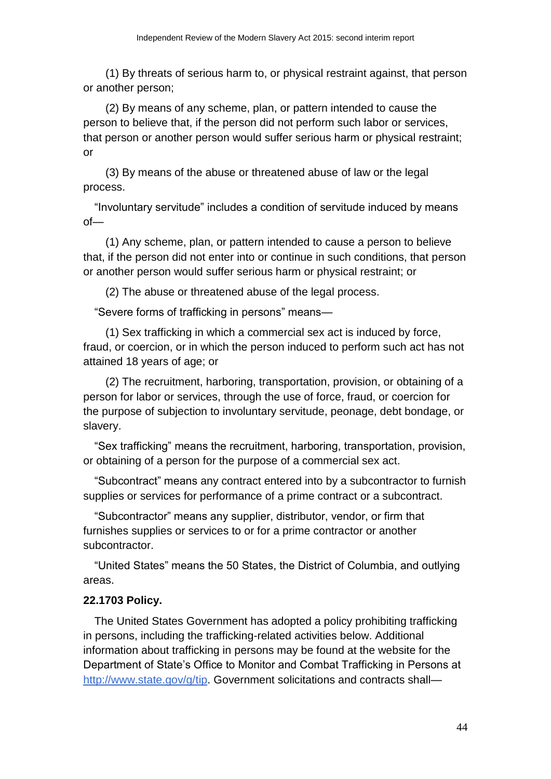(1) By threats of serious harm to, or physical restraint against, that person or another person;

(2) By means of any scheme, plan, or pattern intended to cause the person to believe that, if the person did not perform such labor or services, that person or another person would suffer serious harm or physical restraint; or

(3) By means of the abuse or threatened abuse of law or the legal process.

"Involuntary servitude" includes a condition of servitude induced by means of—

(1) Any scheme, plan, or pattern intended to cause a person to believe that, if the person did not enter into or continue in such conditions, that person or another person would suffer serious harm or physical restraint; or

(2) The abuse or threatened abuse of the legal process.

"Severe forms of trafficking in persons" means—

(1) Sex trafficking in which a commercial sex act is induced by force, fraud, or coercion, or in which the person induced to perform such act has not attained 18 years of age; or

(2) The recruitment, harboring, transportation, provision, or obtaining of a person for labor or services, through the use of force, fraud, or coercion for the purpose of subjection to involuntary servitude, peonage, debt bondage, or slavery.

"Sex trafficking" means the recruitment, harboring, transportation, provision, or obtaining of a person for the purpose of a commercial sex act.

"Subcontract" means any contract entered into by a subcontractor to furnish supplies or services for performance of a prime contract or a subcontract.

"Subcontractor" means any supplier, distributor, vendor, or firm that furnishes supplies or services to or for a prime contractor or another subcontractor.

"United States" means the 50 States, the District of Columbia, and outlying areas.

#### **22.1703 Policy.**

The United States Government has adopted a policy prohibiting trafficking in persons, including the trafficking-related activities below. Additional information about trafficking in persons may be found at the website for the Department of State's Office to Monitor and Combat Trafficking in Persons a[t](http://www.state.gov/g/tip) [http://www.state.gov/g/tip.](http://www.state.gov/g/tip) Government solicitations and contracts shall—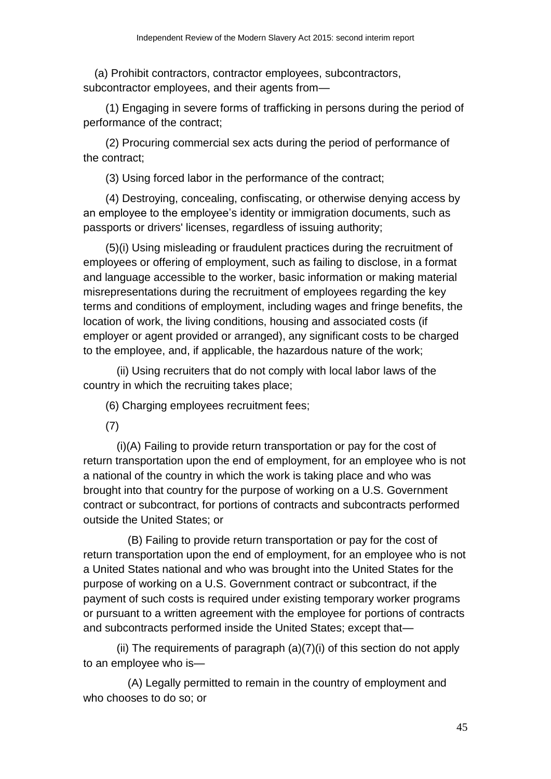(a) Prohibit contractors, contractor employees, subcontractors, subcontractor employees, and their agents from—

(1) Engaging in severe forms of trafficking in persons during the period of performance of the contract;

(2) Procuring commercial sex acts during the period of performance of the contract;

(3) Using forced labor in the performance of the contract;

(4) Destroying, concealing, confiscating, or otherwise denying access by an employee to the employee's identity or immigration documents, such as passports or drivers' licenses, regardless of issuing authority;

(5)(i) Using misleading or fraudulent practices during the recruitment of employees or offering of employment, such as failing to disclose, in a format and language accessible to the worker, basic information or making material misrepresentations during the recruitment of employees regarding the key terms and conditions of employment, including wages and fringe benefits, the location of work, the living conditions, housing and associated costs (if employer or agent provided or arranged), any significant costs to be charged to the employee, and, if applicable, the hazardous nature of the work;

(ii) Using recruiters that do not comply with local labor laws of the country in which the recruiting takes place;

(6) Charging employees recruitment fees;

(7)

(i)(A) Failing to provide return transportation or pay for the cost of return transportation upon the end of employment, for an employee who is not a national of the country in which the work is taking place and who was brought into that country for the purpose of working on a U.S. Government contract or subcontract, for portions of contracts and subcontracts performed outside the United States; or

(B) Failing to provide return transportation or pay for the cost of return transportation upon the end of employment, for an employee who is not a United States national and who was brought into the United States for the purpose of working on a U.S. Government contract or subcontract, if the payment of such costs is required under existing temporary worker programs or pursuant to a written agreement with the employee for portions of contracts and subcontracts performed inside the United States; except that—

(ii) The requirements of paragraph (a)(7)(i) of this section do not apply to an employee who is—

(A) Legally permitted to remain in the country of employment and who chooses to do so; or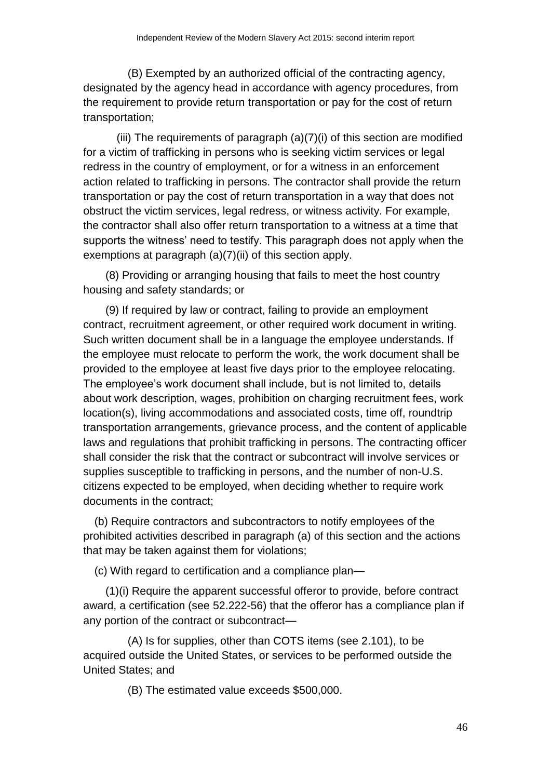(B) Exempted by an authorized official of the contracting agency, designated by the agency head in accordance with agency procedures, from the requirement to provide return transportation or pay for the cost of return transportation;

(iii) The requirements of paragraph (a)(7)(i) of this section are modified for a victim of trafficking in persons who is seeking victim services or legal redress in the country of employment, or for a witness in an enforcement action related to trafficking in persons. The contractor shall provide the return transportation or pay the cost of return transportation in a way that does not obstruct the victim services, legal redress, or witness activity. For example, the contractor shall also offer return transportation to a witness at a time that supports the witness' need to testify. This paragraph does not apply when the exemptions at paragraph (a)(7)(ii) of this section apply.

(8) Providing or arranging housing that fails to meet the host country housing and safety standards; or

(9) If required by law or contract, failing to provide an employment contract, recruitment agreement, or other required work document in writing. Such written document shall be in a language the employee understands. If the employee must relocate to perform the work, the work document shall be provided to the employee at least five days prior to the employee relocating. The employee's work document shall include, but is not limited to, details about work description, wages, prohibition on charging recruitment fees, work location(s), living accommodations and associated costs, time off, roundtrip transportation arrangements, grievance process, and the content of applicable laws and regulations that prohibit trafficking in persons. The contracting officer shall consider the risk that the contract or subcontract will involve services or supplies susceptible to trafficking in persons, and the number of non-U.S. citizens expected to be employed, when deciding whether to require work documents in the contract;

(b) Require contractors and subcontractors to notify employees of the prohibited activities described in paragraph (a) of this section and the actions that may be taken against them for violations;

(c) With regard to certification and a compliance plan—

(1)(i) Require the apparent successful offeror to provide, before contract award, a certification (see 52.222-56) that the offeror has a compliance plan if any portion of the contract or subcontract—

(A) Is for supplies, other than COTS items (see 2.101), to be acquired outside the United States, or services to be performed outside the United States; and

(B) The estimated value exceeds \$500,000.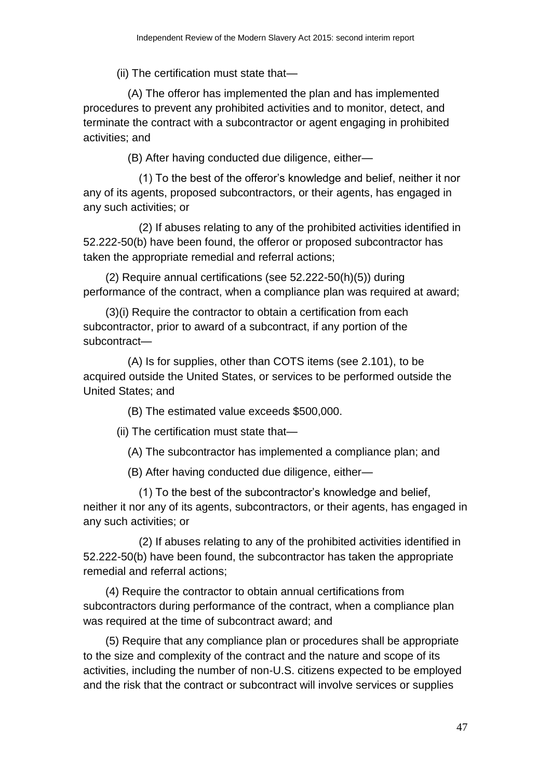(ii) The certification must state that—

(A) The offeror has implemented the plan and has implemented procedures to prevent any prohibited activities and to monitor, detect, and terminate the contract with a subcontractor or agent engaging in prohibited activities; and

(B) After having conducted due diligence, either—

(1) To the best of the offeror's knowledge and belief, neither it nor any of its agents, proposed subcontractors, or their agents, has engaged in any such activities; or

(2) If abuses relating to any of the prohibited activities identified in 52.222-50(b) have been found, the offeror or proposed subcontractor has taken the appropriate remedial and referral actions;

(2) Require annual certifications (see 52.222-50(h)(5)) during performance of the contract, when a compliance plan was required at award;

(3)(i) Require the contractor to obtain a certification from each subcontractor, prior to award of a subcontract, if any portion of the subcontract—

(A) Is for supplies, other than COTS items (see 2.101), to be acquired outside the United States, or services to be performed outside the United States; and

(B) The estimated value exceeds \$500,000.

(ii) The certification must state that—

(A) The subcontractor has implemented a compliance plan; and

(B) After having conducted due diligence, either—

(1) To the best of the subcontractor's knowledge and belief, neither it nor any of its agents, subcontractors, or their agents, has engaged in any such activities; or

(2) If abuses relating to any of the prohibited activities identified in 52.222-50(b) have been found, the subcontractor has taken the appropriate remedial and referral actions;

(4) Require the contractor to obtain annual certifications from subcontractors during performance of the contract, when a compliance plan was required at the time of subcontract award; and

(5) Require that any compliance plan or procedures shall be appropriate to the size and complexity of the contract and the nature and scope of its activities, including the number of non-U.S. citizens expected to be employed and the risk that the contract or subcontract will involve services or supplies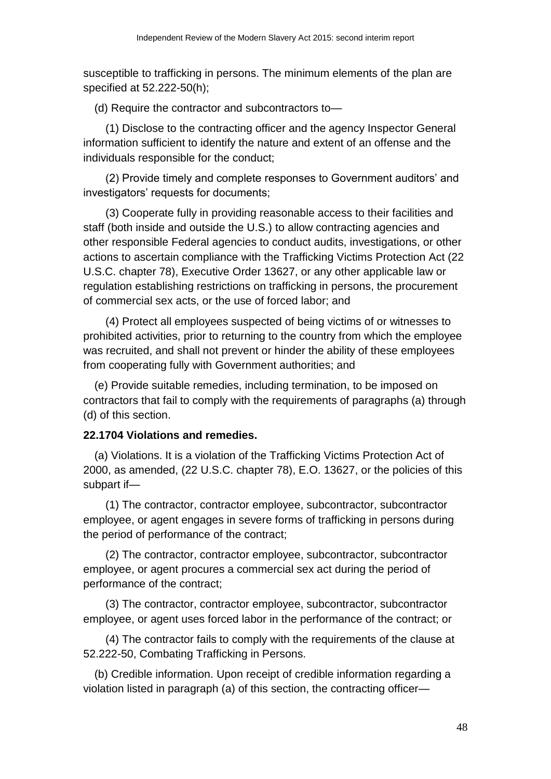susceptible to trafficking in persons. The minimum elements of the plan are specified at 52.222-50(h);

(d) Require the contractor and subcontractors to—

(1) Disclose to the contracting officer and the agency Inspector General information sufficient to identify the nature and extent of an offense and the individuals responsible for the conduct;

(2) Provide timely and complete responses to Government auditors' and investigators' requests for documents;

(3) Cooperate fully in providing reasonable access to their facilities and staff (both inside and outside the U.S.) to allow contracting agencies and other responsible Federal agencies to conduct audits, investigations, or other actions to ascertain compliance with the Trafficking Victims Protection Act (22 U.S.C. chapter 78), Executive Order 13627, or any other applicable law or regulation establishing restrictions on trafficking in persons, the procurement of commercial sex acts, or the use of forced labor; and

(4) Protect all employees suspected of being victims of or witnesses to prohibited activities, prior to returning to the country from which the employee was recruited, and shall not prevent or hinder the ability of these employees from cooperating fully with Government authorities; and

(e) Provide suitable remedies, including termination, to be imposed on contractors that fail to comply with the requirements of paragraphs (a) through (d) of this section.

#### **22.1704 Violations and remedies.**

(a) Violations. It is a violation of the Trafficking Victims Protection Act of 2000, as amended, (22 U.S.C. chapter 78), E.O. 13627, or the policies of this subpart if—

(1) The contractor, contractor employee, subcontractor, subcontractor employee, or agent engages in severe forms of trafficking in persons during the period of performance of the contract;

(2) The contractor, contractor employee, subcontractor, subcontractor employee, or agent procures a commercial sex act during the period of performance of the contract;

(3) The contractor, contractor employee, subcontractor, subcontractor employee, or agent uses forced labor in the performance of the contract; or

(4) The contractor fails to comply with the requirements of the clause at 52.222-50, Combating Trafficking in Persons.

(b) Credible information. Upon receipt of credible information regarding a violation listed in paragraph (a) of this section, the contracting officer—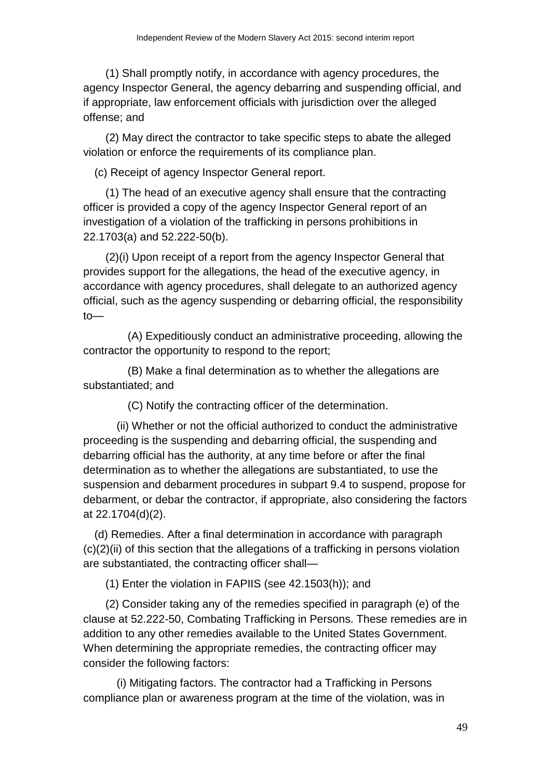(1) Shall promptly notify, in accordance with agency procedures, the agency Inspector General, the agency debarring and suspending official, and if appropriate, law enforcement officials with jurisdiction over the alleged offense; and

(2) May direct the contractor to take specific steps to abate the alleged violation or enforce the requirements of its compliance plan.

(c) Receipt of agency Inspector General report.

(1) The head of an executive agency shall ensure that the contracting officer is provided a copy of the agency Inspector General report of an investigation of a violation of the trafficking in persons prohibitions in 22.1703(a) and 52.222-50(b).

(2)(i) Upon receipt of a report from the agency Inspector General that provides support for the allegations, the head of the executive agency, in accordance with agency procedures, shall delegate to an authorized agency official, such as the agency suspending or debarring official, the responsibility to—

(A) Expeditiously conduct an administrative proceeding, allowing the contractor the opportunity to respond to the report;

(B) Make a final determination as to whether the allegations are substantiated; and

(C) Notify the contracting officer of the determination.

(ii) Whether or not the official authorized to conduct the administrative proceeding is the suspending and debarring official, the suspending and debarring official has the authority, at any time before or after the final determination as to whether the allegations are substantiated, to use the suspension and debarment procedures in subpart 9.4 to suspend, propose for debarment, or debar the contractor, if appropriate, also considering the factors at 22.1704(d)(2).

(d) Remedies. After a final determination in accordance with paragraph  $(c)(2)(ii)$  of this section that the allegations of a trafficking in persons violation are substantiated, the contracting officer shall—

(1) Enter the violation in FAPIIS (see 42.1503(h)); and

(2) Consider taking any of the remedies specified in paragraph (e) of the clause at 52.222-50, Combating Trafficking in Persons. These remedies are in addition to any other remedies available to the United States Government. When determining the appropriate remedies, the contracting officer may consider the following factors:

(i) Mitigating factors. The contractor had a Trafficking in Persons compliance plan or awareness program at the time of the violation, was in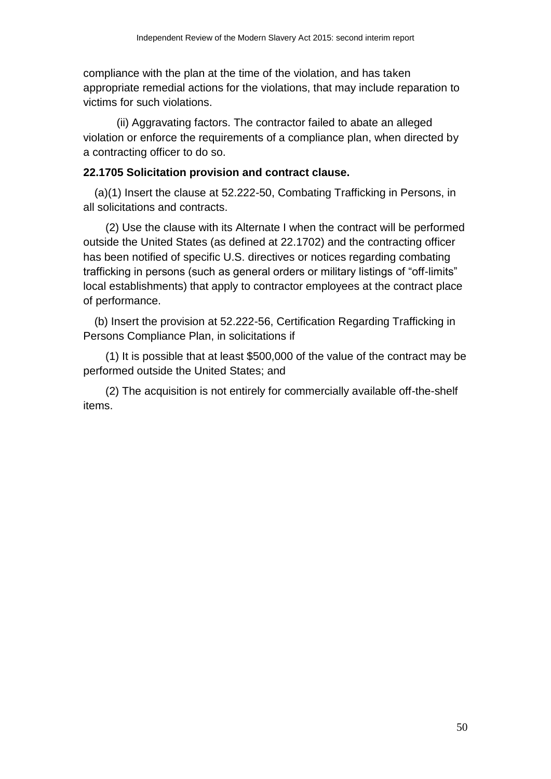compliance with the plan at the time of the violation, and has taken appropriate remedial actions for the violations, that may include reparation to victims for such violations.

(ii) Aggravating factors. The contractor failed to abate an alleged violation or enforce the requirements of a compliance plan, when directed by a contracting officer to do so.

#### **22.1705 Solicitation provision and contract clause.**

(a)(1) Insert the clause at 52.222-50, Combating Trafficking in Persons, in all solicitations and contracts.

(2) Use the clause with its Alternate I when the contract will be performed outside the United States (as defined at 22.1702) and the contracting officer has been notified of specific U.S. directives or notices regarding combating trafficking in persons (such as general orders or military listings of "off-limits" local establishments) that apply to contractor employees at the contract place of performance.

(b) Insert the provision at 52.222-56, Certification Regarding Trafficking in Persons Compliance Plan, in solicitations if

(1) It is possible that at least \$500,000 of the value of the contract may be performed outside the United States; and

(2) The acquisition is not entirely for commercially available off-the-shelf items.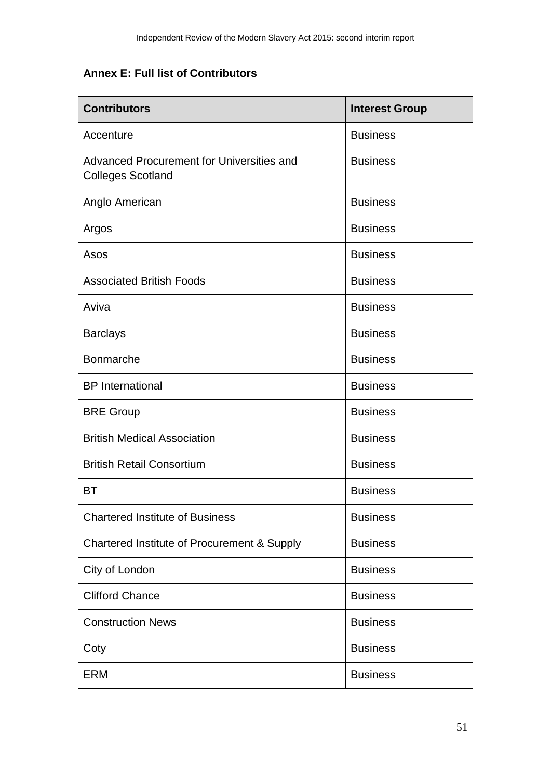# <span id="page-50-0"></span>**Annex E: Full list of Contributors**

| <b>Contributors</b>                                                   | <b>Interest Group</b> |
|-----------------------------------------------------------------------|-----------------------|
| Accenture                                                             | <b>Business</b>       |
| Advanced Procurement for Universities and<br><b>Colleges Scotland</b> | <b>Business</b>       |
| Anglo American                                                        | <b>Business</b>       |
| Argos                                                                 | <b>Business</b>       |
| Asos                                                                  | <b>Business</b>       |
| <b>Associated British Foods</b>                                       | <b>Business</b>       |
| Aviva                                                                 | <b>Business</b>       |
| <b>Barclays</b>                                                       | <b>Business</b>       |
| <b>Bonmarche</b>                                                      | <b>Business</b>       |
| <b>BP</b> International                                               | <b>Business</b>       |
| <b>BRE Group</b>                                                      | <b>Business</b>       |
| <b>British Medical Association</b>                                    | <b>Business</b>       |
| <b>British Retail Consortium</b>                                      | <b>Business</b>       |
| ВT                                                                    | <b>Business</b>       |
| <b>Chartered Institute of Business</b>                                | <b>Business</b>       |
| Chartered Institute of Procurement & Supply                           | <b>Business</b>       |
| City of London                                                        | <b>Business</b>       |
| <b>Clifford Chance</b>                                                | <b>Business</b>       |
| <b>Construction News</b>                                              | <b>Business</b>       |
| Coty                                                                  | <b>Business</b>       |
| <b>ERM</b>                                                            | <b>Business</b>       |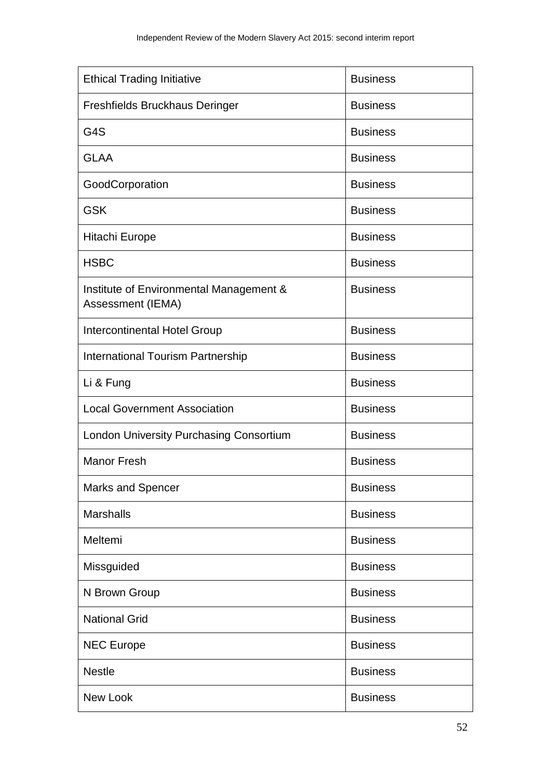| <b>Ethical Trading Initiative</b>                            | <b>Business</b> |
|--------------------------------------------------------------|-----------------|
| <b>Freshfields Bruckhaus Deringer</b>                        | <b>Business</b> |
| G4S                                                          | <b>Business</b> |
| <b>GLAA</b>                                                  | <b>Business</b> |
| GoodCorporation                                              | <b>Business</b> |
| <b>GSK</b>                                                   | <b>Business</b> |
| Hitachi Europe                                               | <b>Business</b> |
| <b>HSBC</b>                                                  | <b>Business</b> |
| Institute of Environmental Management &<br>Assessment (IEMA) | <b>Business</b> |
| <b>Intercontinental Hotel Group</b>                          | <b>Business</b> |
| <b>International Tourism Partnership</b>                     | <b>Business</b> |
| Li & Fung                                                    | <b>Business</b> |
| <b>Local Government Association</b>                          | <b>Business</b> |
| London University Purchasing Consortium                      | <b>Business</b> |
| <b>Manor Fresh</b>                                           | <b>Business</b> |
| Marks and Spencer                                            | <b>Business</b> |
| <b>Marshalls</b>                                             | <b>Business</b> |
| Meltemi                                                      | <b>Business</b> |
| Missguided                                                   | <b>Business</b> |
| N Brown Group                                                | <b>Business</b> |
| <b>National Grid</b>                                         | <b>Business</b> |
| <b>NEC Europe</b>                                            | <b>Business</b> |
| <b>Nestle</b>                                                | <b>Business</b> |
| New Look                                                     | <b>Business</b> |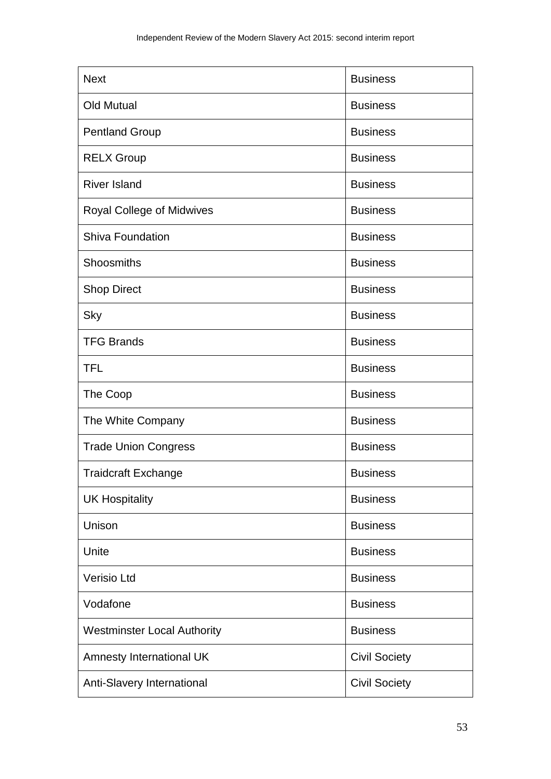| <b>Next</b>                        | <b>Business</b>      |
|------------------------------------|----------------------|
| <b>Old Mutual</b>                  | <b>Business</b>      |
| <b>Pentland Group</b>              | <b>Business</b>      |
| <b>RELX Group</b>                  | <b>Business</b>      |
| <b>River Island</b>                | <b>Business</b>      |
| Royal College of Midwives          | <b>Business</b>      |
| <b>Shiva Foundation</b>            | <b>Business</b>      |
| Shoosmiths                         | <b>Business</b>      |
| <b>Shop Direct</b>                 | <b>Business</b>      |
| <b>Sky</b>                         | <b>Business</b>      |
| <b>TFG Brands</b>                  | <b>Business</b>      |
| TFL                                | <b>Business</b>      |
| The Coop                           | <b>Business</b>      |
| The White Company                  | <b>Business</b>      |
| <b>Trade Union Congress</b>        | <b>Business</b>      |
| <b>Traidcraft Exchange</b>         | <b>Business</b>      |
| <b>UK Hospitality</b>              | <b>Business</b>      |
| Unison                             | <b>Business</b>      |
| Unite                              | <b>Business</b>      |
| <b>Verisio Ltd</b>                 | <b>Business</b>      |
| Vodafone                           | <b>Business</b>      |
| <b>Westminster Local Authority</b> | <b>Business</b>      |
| Amnesty International UK           | <b>Civil Society</b> |
| Anti-Slavery International         | <b>Civil Society</b> |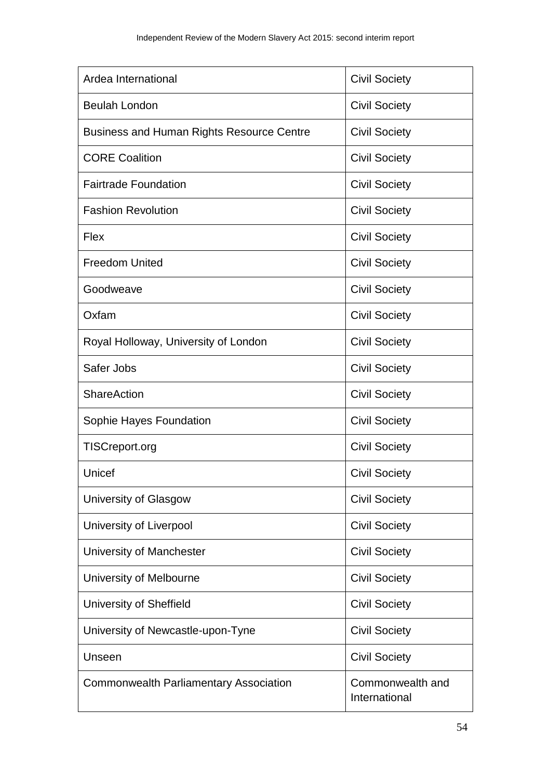| Ardea International                              | <b>Civil Society</b>              |
|--------------------------------------------------|-----------------------------------|
| <b>Beulah London</b>                             | <b>Civil Society</b>              |
| <b>Business and Human Rights Resource Centre</b> | <b>Civil Society</b>              |
| <b>CORE Coalition</b>                            | <b>Civil Society</b>              |
| <b>Fairtrade Foundation</b>                      | <b>Civil Society</b>              |
| <b>Fashion Revolution</b>                        | <b>Civil Society</b>              |
| Flex                                             | <b>Civil Society</b>              |
| <b>Freedom United</b>                            | <b>Civil Society</b>              |
| Goodweave                                        | <b>Civil Society</b>              |
| Oxfam                                            | <b>Civil Society</b>              |
| Royal Holloway, University of London             | <b>Civil Society</b>              |
| Safer Jobs                                       | <b>Civil Society</b>              |
| <b>ShareAction</b>                               | <b>Civil Society</b>              |
| Sophie Hayes Foundation                          | <b>Civil Society</b>              |
| TISCreport.org                                   | <b>Civil Society</b>              |
| Unicef                                           | <b>Civil Society</b>              |
| University of Glasgow                            | <b>Civil Society</b>              |
| University of Liverpool                          | <b>Civil Society</b>              |
| University of Manchester                         | <b>Civil Society</b>              |
| University of Melbourne                          | <b>Civil Society</b>              |
| University of Sheffield                          | <b>Civil Society</b>              |
| University of Newcastle-upon-Tyne                | <b>Civil Society</b>              |
| Unseen                                           | <b>Civil Society</b>              |
| <b>Commonwealth Parliamentary Association</b>    | Commonwealth and<br>International |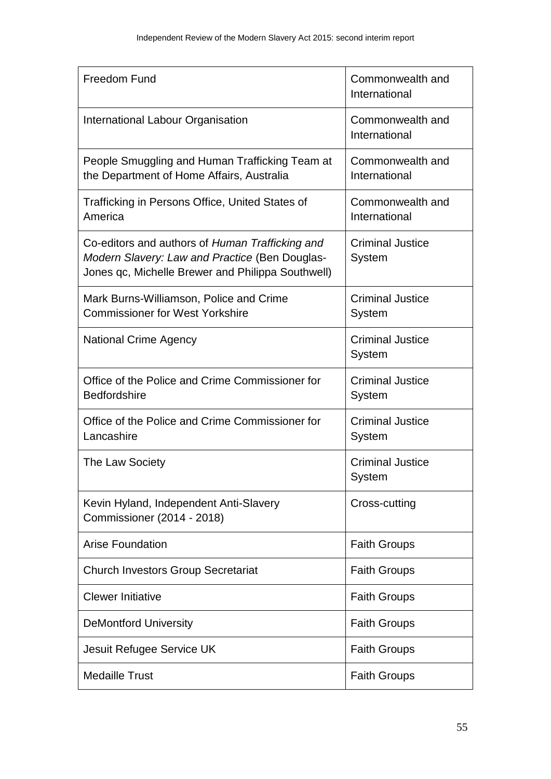| Freedom Fund                                                                                                                                           | Commonwealth and<br>International        |
|--------------------------------------------------------------------------------------------------------------------------------------------------------|------------------------------------------|
| International Labour Organisation                                                                                                                      | Commonwealth and<br>International        |
| People Smuggling and Human Trafficking Team at<br>the Department of Home Affairs, Australia                                                            | Commonwealth and<br>International        |
| Trafficking in Persons Office, United States of<br>America                                                                                             | Commonwealth and<br>International        |
| Co-editors and authors of Human Trafficking and<br>Modern Slavery: Law and Practice (Ben Douglas-<br>Jones qc, Michelle Brewer and Philippa Southwell) | <b>Criminal Justice</b><br><b>System</b> |
| Mark Burns-Williamson, Police and Crime<br><b>Commissioner for West Yorkshire</b>                                                                      | <b>Criminal Justice</b><br>System        |
| <b>National Crime Agency</b>                                                                                                                           | <b>Criminal Justice</b><br>System        |
| Office of the Police and Crime Commissioner for<br><b>Bedfordshire</b>                                                                                 | <b>Criminal Justice</b><br>System        |
| Office of the Police and Crime Commissioner for<br>Lancashire                                                                                          | <b>Criminal Justice</b><br>System        |
| The Law Society                                                                                                                                        | <b>Criminal Justice</b><br>System        |
| Kevin Hyland, Independent Anti-Slavery<br>Commissioner (2014 - 2018)                                                                                   | Cross-cutting                            |
| <b>Arise Foundation</b>                                                                                                                                | <b>Faith Groups</b>                      |
| <b>Church Investors Group Secretariat</b>                                                                                                              | <b>Faith Groups</b>                      |
| <b>Clewer Initiative</b>                                                                                                                               | <b>Faith Groups</b>                      |
| <b>DeMontford University</b>                                                                                                                           | <b>Faith Groups</b>                      |
| Jesuit Refugee Service UK                                                                                                                              | <b>Faith Groups</b>                      |
| <b>Medaille Trust</b>                                                                                                                                  | <b>Faith Groups</b>                      |